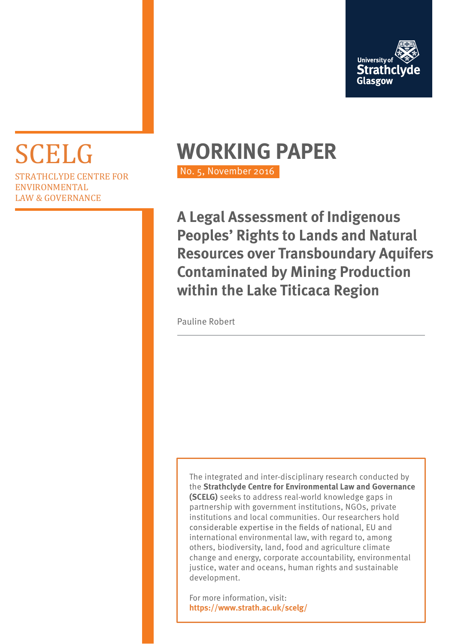

# STRATHCLYDE CENTRE FOR ENVIRONMENTAL LAW & GOVERNANCE

# SCELG **WORKING PAPER**

No. 5, November 2016

**A Legal Assessment of Indigenous Peoples' Rights to Lands and Natural Resources over Transboundary Aquifers Contaminated by Mining Production within the Lake Titicaca Region**

Pauline Robert

The integrated and inter-disciplinary research conducted by the **Strathclyde Centre for Environmental Law and Governance (SCELG)** seeks to address real-world knowledge gaps in partnership with government institutions, NGOs, private institutions and local communities. Our researchers hold considerable expertise in the fields of national, EU and international environmental law, with regard to, among others, biodiversity, land, food and agriculture climate change and energy, corporate accountability, environmental justice, water and oceans, human rights and sustainable development.

For more information, visit: **https://www.strath.ac.uk/scelg/**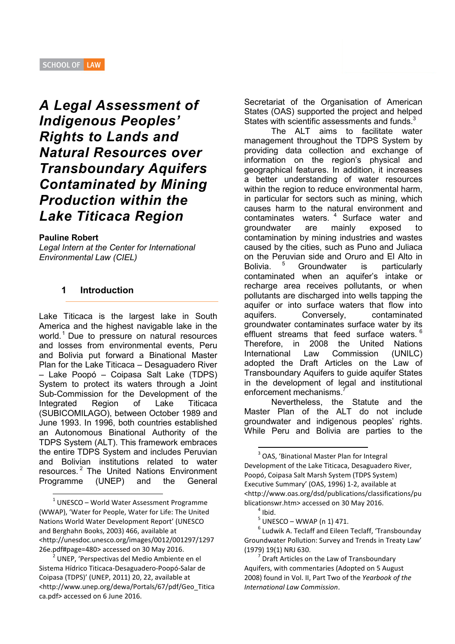# *A Legal Assessment of Indigenous Peoples' Rights to Lands and Natural Resources over Transboundary Aquifers Contaminated by Mining Production within the Lake Titicaca Region*

#### **Pauline Robert**

*Legal Intern at the Center for International Environmental Law (CIEL)* 

#### **1 Introduction**

Lake Titicaca is the largest lake in South America and the highest navigable lake in the world.<sup>1</sup> Due to pressure on natural resources and losses from environmental events, Peru and Bolivia put forward a Binational Master Plan for the Lake Titicaca – Desaguadero River – Lake Poopó – Coipasa Salt Lake (TDPS) System to protect its waters through a Joint Sub-Commission for the Development of the Integrated Region of Lake Titicaca (SUBICOMILAGO), between October 1989 and June 1993. In 1996, both countries established an Autonomous Binational Authority of the TDPS System (ALT). This framework embraces the entire TDPS System and includes Peruvian and Bolivian institutions related to water resources.<sup>2</sup> The United Nations Environment Programme (UNEP) and the General

 $1$  UNESCO – World Water Assessment Programme (WWAP), 'Water for People, Water for Life: The United Nations World Water Development Report' (UNESCO and Berghahn Books, 2003) 466, available at <http://unesdoc.unesco.org/images/0012/001297/1297 26e.pdf#page=480> accessed on 30 May 2016.

2 UNEP, 'Perspectivas del Medio Ambiente en el Sistema Hídrico Titicaca-Desaguadero-Poopó-Salar de Coipasa (TDPS)' (UNEP, 2011) 20, 22, available at <http://www.unep.org/dewa/Portals/67/pdf/Geo\_Titica ca.pdf> accessed on 6 June 2016.

Secretariat of the Organisation of American States (OAS) supported the project and helped States with scientific assessments and funds.<sup>3</sup>

The ALT aims to facilitate water management throughout the TDPS System by providing data collection and exchange of information on the region's physical and geographical features. In addition, it increases a better understanding of water resources within the region to reduce environmental harm, in particular for sectors such as mining, which causes harm to the natural environment and contaminates waters.<sup>4</sup> Surface water and groundwater are mainly exposed to contamination by mining industries and wastes caused by the cities, such as Puno and Juliaca on the Peruvian side and Oruro and El Alto in **Bolivia**  Groundwater is particularly contaminated when an aquifer's intake or recharge area receives pollutants, or when pollutants are discharged into wells tapping the aquifer or into surface waters that flow into aquifers. Conversely, contaminated groundwater contaminates surface water by its effluent streams that feed surface waters.<sup>6</sup> Therefore, in 2008 the United Nations International Law Commission (UNILC) adopted the Draft Articles on the Law of Transboundary Aquifers to guide aquifer States in the development of legal and institutional enforcement mechanisms.<sup>7</sup>

Nevertheless, the Statute and the Master Plan of the ALT do not include groundwater and indigenous peoples' rights. While Peru and Bolivia are parties to the

<sup>&</sup>lt;sup>3</sup> OAS, 'Binational Master Plan for Integral Development of the Lake Titicaca, Desaguadero River, Poopó, Coipasa Salt Marsh System (TDPS System) Executive Summary' (OAS, 1996) 1-2, available at <http://www.oas.org/dsd/publications/classifications/pu blicationswr.htm> accessed on 30 May 2016.

 $<sup>4</sup>$  Ibid.</sup>

 $5$  UNESCO – WWAP (n 1) 471.

<sup>&</sup>lt;sup>6</sup> Ludwik A. Teclaff and Eileen Teclaff, 'Transbounday Groundwater Pollution: Survey and Trends in Treaty Law' (1979) 19(1) NRJ 630.

<sup>7</sup> Draft Articles on the Law of Transboundary Aquifers, with commentaries (Adopted on 5 August 2008) found in Vol. II, Part Two of the *Yearbook of the International Law Commission*.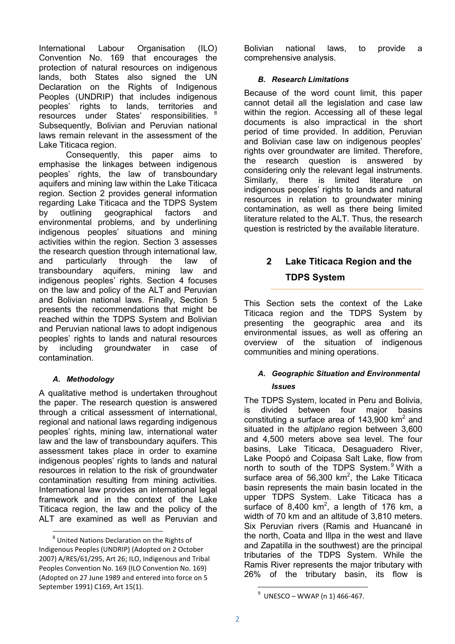International Labour Organisation (ILO) Convention No. 169 that encourages the protection of natural resources on indigenous lands, both States also signed the UN Declaration on the Rights of Indigenous Peoples (UNDRIP) that includes indigenous peoples' rights to lands, territories and resources under States' responsibilities. <sup>8</sup> Subsequently, Bolivian and Peruvian national laws remain relevant in the assessment of the Lake Titicaca region.

Consequently, this paper aims to emphasise the linkages between indigenous peoples' rights, the law of transboundary aquifers and mining law within the Lake Titicaca region. Section 2 provides general information regarding Lake Titicaca and the TDPS System by outlining geographical factors and environmental problems, and by underlining indigenous peoples' situations and mining activities within the region. Section 3 assesses the research question through international law, and particularly through the law of transboundary aquifers, mining law and indigenous peoples' rights. Section 4 focuses on the law and policy of the ALT and Peruvian and Bolivian national laws. Finally, Section 5 presents the recommendations that might be reached within the TDPS System and Bolivian and Peruvian national laws to adopt indigenous peoples' rights to lands and natural resources by including groundwater in case of contamination.

#### *A. Methodology*

-

A qualitative method is undertaken throughout the paper. The research question is answered through a critical assessment of international, regional and national laws regarding indigenous peoples' rights, mining law, international water law and the law of transboundary aquifers. This assessment takes place in order to examine indigenous peoples' rights to lands and natural resources in relation to the risk of groundwater contamination resulting from mining activities. International law provides an international legal framework and in the context of the Lake Titicaca region, the law and the policy of the ALT are examined as well as Peruvian and

Bolivian national laws, to provide a comprehensive analysis.

# *B. Research Limitations*

Because of the word count limit, this paper cannot detail all the legislation and case law within the region. Accessing all of these legal documents is also impractical in the short period of time provided. In addition, Peruvian and Bolivian case law on indigenous peoples' rights over groundwater are limited. Therefore, the research question is answered by considering only the relevant legal instruments. Similarly, there is limited literature on indigenous peoples' rights to lands and natural resources in relation to groundwater mining contamination, as well as there being limited literature related to the ALT. Thus, the research question is restricted by the available literature.

# **2 Lake Titicaca Region and the TDPS System**

This Section sets the context of the Lake Titicaca region and the TDPS System by presenting the geographic area and its environmental issues, as well as offering an overview of the situation of indigenous communities and mining operations.

# *A. Geographic Situation and Environmental Issues*

The TDPS System, located in Peru and Bolivia, is divided between four major basins constituting a surface area of  $143,900$  km<sup>2</sup> and situated in the *altiplano* region between 3,600 and 4,500 meters above sea level. The four basins, Lake Titicaca, Desaguadero River, Lake Poopó and Coipasa Salt Lake, flow from north to south of the TDPS System.<sup>9</sup> With a surface area of 56,300  $km^2$ , the Lake Titicaca basin represents the main basin located in the upper TDPS System. Lake Titicaca has a surface of 8,400 km<sup>2</sup>, a length of 176 km, a width of 70 km and an altitude of 3,810 meters. Six Peruvian rivers (Ramis and Huancané in the north, Coata and Illpa in the west and Ilave and Zapatilla in the southwest) are the principal tributaries of the TDPS System. While the Ramis River represents the major tributary with 26% of the tributary basin, its flow is

<sup>&</sup>lt;sup>8</sup> United Nations Declaration on the Rights of Indigenous Peoples (UNDRIP) (Adopted on 2 October 2007) A/RES/61/295, Art 26; ILO, Indigenous and Tribal Peoples Convention No. 169 (ILO Convention No. 169) (Adopted on 27 June 1989 and entered into force on 5 September 1991) C169, Art 15(1).

<sup>-</sup> $^{9}$  UNESCO – WWAP (n 1) 466-467.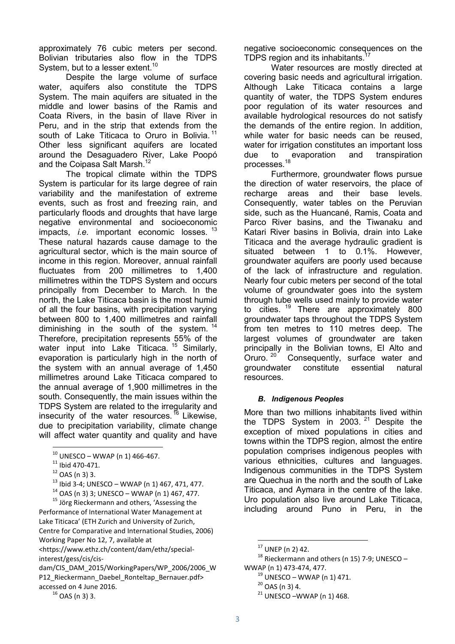approximately 76 cubic meters per second. Bolivian tributaries also flow in the TDPS System, but to a lesser extent.<sup>10</sup>

Despite the large volume of surface water, aquifers also constitute the TDPS System. The main aquifers are situated in the middle and lower basins of the Ramis and Coata Rivers, in the basin of Ilave River in Peru, and in the strip that extends from the south of Lake Titicaca to Oruro in Bolivia.<sup>11</sup> Other less significant aquifers are located around the Desaguadero River, Lake Poopó and the Coipasa Salt Marsh.<sup>12</sup>

The tropical climate within the TDPS System is particular for its large degree of rain variability and the manifestation of extreme events, such as frost and freezing rain, and particularly floods and droughts that have large negative environmental and socioeconomic impacts, *i.e.* important economic losses.<sup>13</sup> These natural hazards cause damage to the agricultural sector, which is the main source of income in this region. Moreover, annual rainfall fluctuates from 200 millimetres to 1,400 millimetres within the TDPS System and occurs principally from December to March. In the north, the Lake Titicaca basin is the most humid of all the four basins, with precipitation varying between 800 to 1,400 millimetres and rainfall diminishing in the south of the system.<sup>14</sup> Therefore, precipitation represents 55% of the water input into Lake Titicaca.<sup>15</sup> Similarly, evaporation is particularly high in the north of the system with an annual average of 1,450 millimetres around Lake Titicaca compared to the annual average of 1,900 millimetres in the south. Consequently, the main issues within the TDPS System are related to the irregularity and insecurity of the water resources.  $^{16}$  Likewise, due to precipitation variability, climate change will affect water quantity and quality and have

<u>.</u>

<sup>15</sup> Jörg Rieckermann and others, 'Assessing the Performance of International Water Management at Lake Titicaca' (ETH Zurich and University of Zurich, Centre for Comparative and International Studies, 2006) Working Paper No 12, 7, available at

<https://www.ethz.ch/content/dam/ethz/specialinterest/gess/cis/cis-

dam/CIS\_DAM\_2015/WorkingPapers/WP\_2006/2006\_W P12\_Rieckermann\_Daebel\_Ronteltap\_Bernauer.pdf> accessed on 4 June 2016.

negative socioeconomic consequences on the TDPS region and its inhabitants.<sup>1</sup>

Water resources are mostly directed at covering basic needs and agricultural irrigation. Although Lake Titicaca contains a large quantity of water, the TDPS System endures poor regulation of its water resources and available hydrological resources do not satisfy the demands of the entire region. In addition, while water for basic needs can be reused. water for irrigation constitutes an important loss due to evaporation and transpiration processes. $^{18}$ 

Furthermore, groundwater flows pursue the direction of water reservoirs, the place of recharge areas and their base levels. Consequently, water tables on the Peruvian side, such as the Huancané, Ramis, Coata and Parco River basins, and the Tiwanaku and Katari River basins in Bolivia, drain into Lake Titicaca and the average hydraulic gradient is situated between 1 to 0.1%. However, groundwater aquifers are poorly used because of the lack of infrastructure and regulation. Nearly four cubic meters per second of the total volume of groundwater goes into the system through tube wells used mainly to provide water to cities. <sup>19</sup> There are approximately 800 groundwater taps throughout the TDPS System from ten metres to 110 metres deep. The largest volumes of groundwater are taken principally in the Bolivian towns, El Alto and Oruro.<sup>20</sup> Consequently, surface water and groundwater constitute essential natural resources.

#### *B. Indigenous Peoples*

More than two millions inhabitants lived within the TDPS System in 2003.  $21$  Despite the exception of mixed populations in cities and towns within the TDPS region, almost the entire population comprises indigenous peoples with various ethnicities, cultures and languages. Indigenous communities in the TDPS System are Quechua in the north and the south of Lake Titicaca, and Aymara in the centre of the lake. Uro population also live around Lake Titicaca, including around Puno in Peru, in the

 $10$  UNESCO – WWAP (n 1) 466-467.

 $11$  Ibid 470-471.

 $12$  OAS (n 3) 3.

 $13$  Ibid 3-4; UNESCO – WWAP (n 1) 467, 471, 477.

 $14$  OAS (n 3) 3; UNESCO – WWAP (n 1) 467, 477.

 $16$  OAS (n 3) 3.

<sup>17</sup> UNEP (n 2) 42.

 $^{18}$  Rieckermann and others (n 15) 7-9; UNESCO – WWAP (n 1) 473-474, 477.

 $19$  UNESCO – WWAP (n 1) 471.

 $20$  OAS (n 3) 4.

 $21$  UNESCO –WWAP (n 1) 468.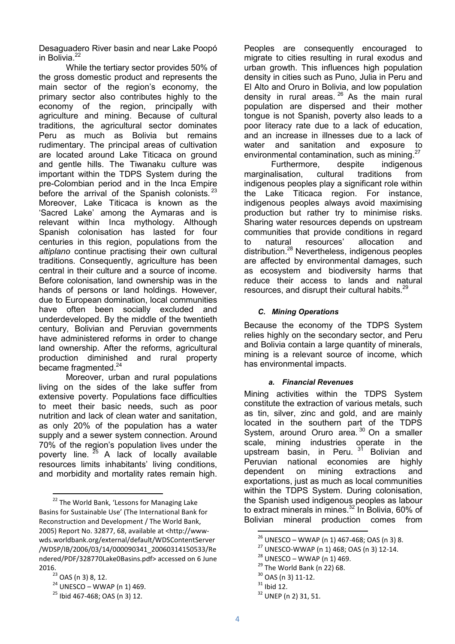Desaguadero River basin and near Lake Poopó in Bolivia.<sup>22</sup>

While the tertiary sector provides 50% of the gross domestic product and represents the main sector of the region's economy, the primary sector also contributes highly to the economy of the region, principally with agriculture and mining. Because of cultural traditions, the agricultural sector dominates Peru as much as Bolivia but remains rudimentary. The principal areas of cultivation are located around Lake Titicaca on ground and gentle hills. The Tiwanaku culture was important within the TDPS System during the pre-Colombian period and in the Inca Empire before the arrival of the Spanish colonists.<sup>23</sup> Moreover, Lake Titicaca is known as the 'Sacred Lake' among the Aymaras and is relevant within Inca mythology. Although Spanish colonisation has lasted for four centuries in this region, populations from the *altiplano* continue practising their own cultural traditions. Consequently, agriculture has been central in their culture and a source of income. Before colonisation, land ownership was in the hands of persons or land holdings. However, due to European domination, local communities have often been socially excluded and underdeveloped. By the middle of the twentieth century, Bolivian and Peruvian governments have administered reforms in order to change land ownership. After the reforms, agricultural production diminished and rural property became fragmented.<sup>24</sup>

Moreover, urban and rural populations living on the sides of the lake suffer from extensive poverty. Populations face difficulties to meet their basic needs, such as poor nutrition and lack of clean water and sanitation, as only 20% of the population has a water supply and a sewer system connection. Around 70% of the region's population lives under the poverty line.  $25$  A lack of locally available resources limits inhabitants' living conditions, and morbidity and mortality rates remain high.

-

Peoples are consequently encouraged to migrate to cities resulting in rural exodus and urban growth. This influences high population density in cities such as Puno, Julia in Peru and El Alto and Oruro in Bolivia, and low population density in rural areas.  $26$  As the main rural population are dispersed and their mother tongue is not Spanish, poverty also leads to a poor literacy rate due to a lack of education, and an increase in illnesses due to a lack of water and sanitation and exposure to environmental contamination, such as mining.<sup>27</sup>

Furthermore, despite indigenous marginalisation, cultural traditions from indigenous peoples play a significant role within the Lake Titicaca region. For instance, indigenous peoples always avoid maximising production but rather try to minimise risks. Sharing water resources depends on upstream communities that provide conditions in regard<br>to natural resources' allocation and to natural resources' allocation and distribution.<sup>28</sup> Nevertheless, indigenous peoples are affected by environmental damages, such as ecosystem and biodiversity harms that reduce their access to lands and natural resources, and disrupt their cultural habits.<sup>29</sup>

## *C. Mining Operations*

Because the economy of the TDPS System relies highly on the secondary sector, and Peru and Bolivia contain a large quantity of minerals, mining is a relevant source of income, which has environmental impacts.

#### *a. Financial Revenues*

Mining activities within the TDPS System constitute the extraction of various metals, such as tin, silver, zinc and gold, and are mainly located in the southern part of the TDPS System, around Oruro area.  $30$  On a smaller scale, mining industries operate in the upstream basin, in Peru.  $3^1$  Bolivian and Peruvian national economies are highly dependent on mining extractions and exportations, just as much as local communities within the TDPS System. During colonisation, the Spanish used indigenous peoples as labour to extract minerals in mines.<sup>32</sup> In Bolivia, 60% of Bolivian mineral production comes from

<sup>&</sup>lt;sup>22</sup> The World Bank, 'Lessons for Managing Lake Basins for Sustainable Use' (The International Bank for Reconstruction and Development / The World Bank, 2005) Report No. 32877, 68, available at <http://wwwwds.worldbank.org/external/default/WDSContentServer /WDSP/IB/2006/03/14/000090341\_20060314150533/Re ndered/PDF/328770Lake0Basins.pdf> accessed on 6 June 2016.

<sup>&</sup>lt;sup>23</sup> OAS (n 3) 8, 12.

 $24$  UNESCO – WWAP (n 1) 469.

<sup>25</sup> Ibid 467-468; OAS (n 3) 12.

 $26$  UNESCO – WWAP (n 1) 467-468; OAS (n 3) 8.

<sup>27</sup> UNESCO-WWAP (n 1) 468; OAS (n 3) 12-14.

 $28$  UNESCO – WWAP (n 1) 469.

 $29$  The World Bank (n 22) 68.

<sup>30</sup> OAS (n 3) 11-12.

 $31$  Ibid 12.

<sup>32</sup> UNEP (n 2) 31, 51.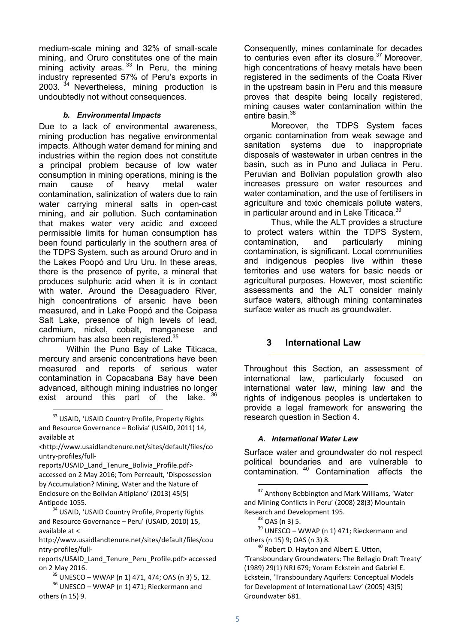medium-scale mining and 32% of small-scale mining, and Oruro constitutes one of the main mining activity areas.  $33$  In Peru, the mining industry represented 57% of Peru's exports in 2003.  $34$  Nevertheless, mining production is undoubtedly not without consequences.

#### *b. Environmental Impacts*

Due to a lack of environmental awareness, mining production has negative environmental impacts. Although water demand for mining and industries within the region does not constitute a principal problem because of low water consumption in mining operations, mining is the main cause of heavy metal water contamination, salinization of waters due to rain water carrying mineral salts in open-cast mining, and air pollution. Such contamination that makes water very acidic and exceed permissible limits for human consumption has been found particularly in the southern area of the TDPS System, such as around Oruro and in the Lakes Poopó and Uru Uru. In these areas, there is the presence of pyrite, a mineral that produces sulphuric acid when it is in contact with water. Around the Desaguadero River, high concentrations of arsenic have been measured, and in Lake Poopó and the Coipasa Salt Lake, presence of high levels of lead, cadmium, nickel, cobalt, manganese and chromium has also been registered.<sup>35</sup>

Within the Puno Bay of Lake Titicaca, mercury and arsenic concentrations have been measured and reports of serious water contamination in Copacabana Bay have been advanced, although mining industries no longer exist around this part of the lake. 36

-

reports/USAID\_Land\_Tenure\_Bolivia\_Profile.pdf> accessed on 2 May 2016; Tom Perreault, 'Dispossession by Accumulation? Mining, Water and the Nature of Enclosure on the Bolivian Altiplano' (2013) 45(5) Antipode 1055.

<sup>34</sup> USAID, 'USAID Country Profile, Property Rights and Resource Governance – Peru' (USAID, 2010) 15, available at <

http://www.usaidlandtenure.net/sites/default/files/cou ntry-profiles/fullConsequently, mines contaminate for decades to centuries even after its closure. $37$  Moreover, high concentrations of heavy metals have been registered in the sediments of the Coata River in the upstream basin in Peru and this measure proves that despite being locally registered, mining causes water contamination within the entire basin.<sup>38</sup>

Moreover, the TDPS System faces organic contamination from weak sewage and sanitation systems due to inappropriate disposals of wastewater in urban centres in the basin, such as in Puno and Juliaca in Peru. Peruvian and Bolivian population growth also increases pressure on water resources and water contamination, and the use of fertilisers in agriculture and toxic chemicals pollute waters, in particular around and in Lake Titicaca.<sup>39</sup>

Thus, while the ALT provides a structure to protect waters within the TDPS System, contamination, and particularly mining contamination, is significant. Local communities and indigenous peoples live within these territories and use waters for basic needs or agricultural purposes. However, most scientific assessments and the ALT consider mainly surface waters, although mining contaminates surface water as much as groundwater.

# **3 International Law**

Throughout this Section, an assessment of international law, particularly focused on international water law, mining law and the rights of indigenous peoples is undertaken to provide a legal framework for answering the research question in Section 4.

#### *A. International Water Law*

Surface water and groundwater do not respect political boundaries and are vulnerable to contamination. <sup>40</sup> Contamination affects the

<sup>&</sup>lt;sup>33</sup> USAID, 'USAID Country Profile, Property Rights and Resource Governance – Bolivia' (USAID, 2011) 14, available at

<sup>&</sup>lt;http://www.usaidlandtenure.net/sites/default/files/co untry-profiles/full-

reports/USAID\_Land\_Tenure\_Peru\_Profile.pdf> accessed on 2 May 2016.

 $35$  UNESCO – WWAP (n 1) 471, 474; OAS (n 3) 5, 12.

<sup>&</sup>lt;sup>36</sup> UNESCO – WWAP (n 1) 471; Rieckermann and others (n 15) 9.

<sup>&</sup>lt;sup>37</sup> Anthony Bebbington and Mark Williams, 'Water and Mining Conflicts in Peru' (2008) 28(3) Mountain Research and Development 195.

<sup>38</sup> OAS (n 3) 5.

 $39$  UNESCO – WWAP (n 1) 471; Rieckermann and others (n 15) 9; OAS (n 3) 8.

<sup>&</sup>lt;sup>40</sup> Robert D. Hayton and Albert E. Utton, 'Transboundary Groundwaters: The Bellagio Draft Treaty' (1989) 29(1) NRJ 679; Yoram Eckstein and Gabriel E. Eckstein, 'Transboundary Aquifers: Conceptual Models for Development of International Law' (2005) 43(5) Groundwater 681.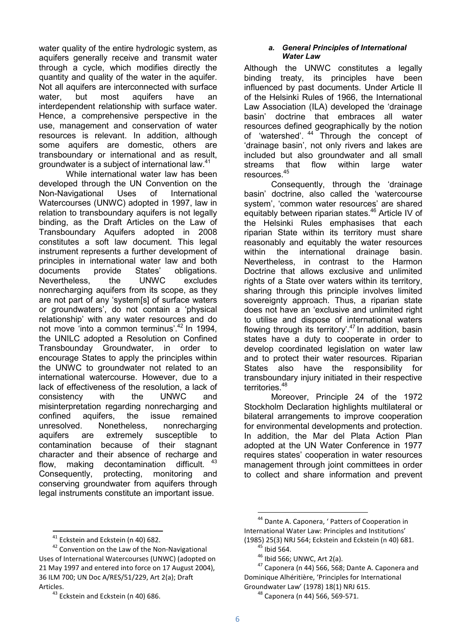water quality of the entire hydrologic system, as aquifers generally receive and transmit water through a cycle, which modifies directly the quantity and quality of the water in the aquifer. Not all aquifers are interconnected with surface water, but most aquifers have an interdependent relationship with surface water. Hence, a comprehensive perspective in the use, management and conservation of water resources is relevant. In addition, although some aquifers are domestic, others are transboundary or international and as result, groundwater is a subject of international law.<sup>41</sup>

While international water law has been developed through the UN Convention on the Non-Navigational Uses of International Watercourses (UNWC) adopted in 1997, law in relation to transboundary aquifers is not legally binding, as the Draft Articles on the Law of Transboundary Aquifers adopted in 2008 constitutes a soft law document. This legal instrument represents a further development of principles in international water law and both documents provide States' obligations. Nevertheless, the UNWC excludes nonrecharging aquifers from its scope, as they are not part of any 'system[s] of surface waters or groundwaters', do not contain a 'physical relationship' with any water resources and do not move 'into a common terminus'.<sup>42</sup> In 1994, the UNILC adopted a Resolution on Confined Transbounday Groundwater, in order to encourage States to apply the principles within the UNWC to groundwater not related to an international watercourse. However, due to a lack of effectiveness of the resolution, a lack of consistency with the UNWC and misinterpretation regarding nonrecharging and confined aquifers, the issue remained unresolved. Nonetheless, nonrecharging aquifers are extremely susceptible to contamination because of their stagnant character and their absence of recharge and flow, making decontamination difficult. Consequently, protecting, monitoring and conserving groundwater from aquifers through legal instruments constitute an important issue.

#### *a. General Principles of International Water Law*

Although the UNWC constitutes a legally binding treaty, its principles have been influenced by past documents. Under Article II of the Helsinki Rules of 1966, the International Law Association (ILA) developed the 'drainage basin' doctrine that embraces all water resources defined geographically by the notion of 'watershed'. <sup>44</sup> Through the concept of 'drainage basin', not only rivers and lakes are included but also groundwater and all small streams that flow within large water resources.<sup>45</sup>

Consequently, through the 'drainage basin' doctrine, also called the 'watercourse system', 'common water resources' are shared equitably between riparian states.<sup>46</sup> Article IV of the Helsinki Rules emphasises that each riparian State within its territory must share reasonably and equitably the water resources within the international drainage basin. Nevertheless, in contrast to the Harmon Doctrine that allows exclusive and unlimited rights of a State over waters within its territory, sharing through this principle involves limited sovereignty approach. Thus, a riparian state does not have an 'exclusive and unlimited right to utilise and dispose of international waters flowing through its territory'. $47$  In addition, basin states have a duty to cooperate in order to develop coordinated legislation on water law and to protect their water resources. Riparian States also have the responsibility for transboundary injury initiated in their respective territories.<sup>48</sup>

Moreover, Principle 24 of the 1972 Stockholm Declaration highlights multilateral or bilateral arrangements to improve cooperation for environmental developments and protection. In addition, the Mar del Plata Action Plan adopted at the UN Water Conference in 1977 requires states' cooperation in water resources management through joint committees in order to collect and share information and prevent

<sup>-</sup><sup>41</sup> Eckstein and Eckstein (n 40) 682.

<sup>&</sup>lt;sup>42</sup> Convention on the Law of the Non-Navigational Uses of International Watercourses (UNWC) (adopted on 21 May 1997 and entered into force on 17 August 2004), 36 ILM 700; UN Doc A/RES/51/229, Art 2(a); Draft Articles.

<sup>&</sup>lt;sup>43</sup> Eckstein and Eckstein (n 40) 686.

<sup>&</sup>lt;sup>44</sup> Dante A. Caponera, ' Patters of Cooperation in International Water Law: Principles and Institutions' (1985) 25(3) NRJ 564; Eckstein and Eckstein (n 40) 681.

 $45$  Ibid 564.

 $46$  Ibid 566; UNWC, Art 2(a).

 $47$  Caponera (n 44) 566, 568; Dante A. Caponera and Dominique Alhéritière, 'Principles for International Groundwater Law' (1978) 18(1) NRJ 615.

 $48$  Caponera (n 44) 566, 569-571.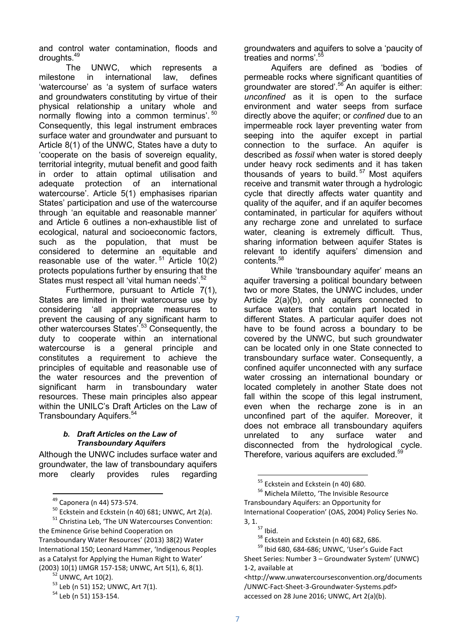and control water contamination, floods and droughts.<sup>49</sup>

The UNWC, which represents a milestone in international law, defines 'watercourse' as 'a system of surface waters and groundwaters constituting by virtue of their physical relationship a unitary whole and normally flowing into a common terminus'. <sup>50</sup> Consequently, this legal instrument embraces surface water and groundwater and pursuant to Article 8(1) of the UNWC, States have a duty to 'cooperate on the basis of sovereign equality, territorial integrity, mutual benefit and good faith in order to attain optimal utilisation and adequate protection of an international watercourse'. Article 5(1) emphasises riparian States' participation and use of the watercourse through 'an equitable and reasonable manner' and Article 6 outlines a non-exhaustible list of ecological, natural and socioeconomic factors, such as the population, that must be considered to determine an equitable and reasonable use of the water.  $51$  Article 10(2) protects populations further by ensuring that the States must respect all 'vital human needs'.<sup>52</sup>

Furthermore, pursuant to Article 7(1), States are limited in their watercourse use by considering 'all appropriate measures to prevent the causing of any significant harm to other watercourses States'.<sup>53</sup> Consequently, the duty to cooperate within an international watercourse is a general principle and constitutes a requirement to achieve the principles of equitable and reasonable use of the water resources and the prevention of significant harm in transboundary water resources. These main principles also appear within the UNILC's Draft Articles on the Law of Transboundary Aquifers.<sup>54</sup>

#### *b. Draft Articles on the Law of Transboundary Aquifers*

Although the UNWC includes surface water and groundwater, the law of transboundary aquifers more clearly provides rules regarding

-

<sup>54</sup> Leb (n 51) 153-154.

groundwaters and aquifers to solve a 'paucity of treaties and norms'.<sup>5</sup>

Aquifers are defined as 'bodies of permeable rocks where significant quantities of groundwater are stored<sup>'.56</sup> An aquifer is either: *unconfined* as it is open to the surface environment and water seeps from surface directly above the aquifer; or *confined* due to an impermeable rock layer preventing water from seeping into the aquifer except in partial connection to the surface. An aquifer is described as *fossil* when water is stored deeply under heavy rock sediments and it has taken thousands of years to build. <sup>57</sup> Most aquifers receive and transmit water through a hydrologic cycle that directly affects water quantity and quality of the aquifer, and if an aquifer becomes contaminated, in particular for aquifers without any recharge zone and unrelated to surface water, cleaning is extremely difficult. Thus, sharing information between aquifer States is relevant to identify aquifers' dimension and contents.<sup>58</sup>

While 'transboundary aquifer' means an aquifer traversing a political boundary between two or more States, the UNWC includes, under Article 2(a)(b), only aquifers connected to surface waters that contain part located in different States. A particular aquifer does not have to be found across a boundary to be covered by the UNWC, but such groundwater can be located only in one State connected to transboundary surface water. Consequently, a confined aquifer unconnected with any surface water crossing an international boundary or located completely in another State does not fall within the scope of this legal instrument, even when the recharge zone is in an unconfined part of the aquifer. Moreover, it does not embrace all transboundary aquifers unrelated to any surface water and disconnected from the hydrological cycle. Therefore, various aquifers are excluded.<sup>59</sup>

<sup>49</sup> Caponera (n 44) 573-574.

 $50$  Eckstein and Eckstein (n 40) 681; UNWC, Art 2(a).

<sup>51</sup> Christina Leb, 'The UN Watercourses Convention: the Eminence Grise behind Cooperation on

Transboundary Water Resources' (2013) 38(2) Water International 150; Leonard Hammer, 'Indigenous Peoples as a Catalyst for Applying the Human Right to Water' (2003) 10(1) IJMGR 157-158; UNWC, Art 5(1), 6, 8(1).

 $^2$  UNWC, Art 10(2).

<sup>53</sup> Leb (n 51) 152; UNWC, Art 7(1).

<sup>&</sup>lt;sup>55</sup> Eckstein and Eckstein (n 40) 680.

<sup>&</sup>lt;sup>56</sup> Michela Miletto, 'The Invisible Resource Transboundary Aquifers: an Opportunity for International Cooperation' (OAS, 2004) Policy Series No. 3, 1.

 $\overline{57}$  Ibid.

<sup>&</sup>lt;sup>58</sup> Eckstein and Eckstein (n 40) 682, 686.

<sup>59</sup> Ibid 680, 684-686; UNWC, 'User's Guide Fact

Sheet Series: Number 3 – Groundwater System' (UNWC) 1-2, available at

<sup>&</sup>lt;http://www.unwatercoursesconvention.org/documents /UNWC-Fact-Sheet-3-Groundwater-Systems.pdf> accessed on 28 June 2016; UNWC, Art 2(a)(b).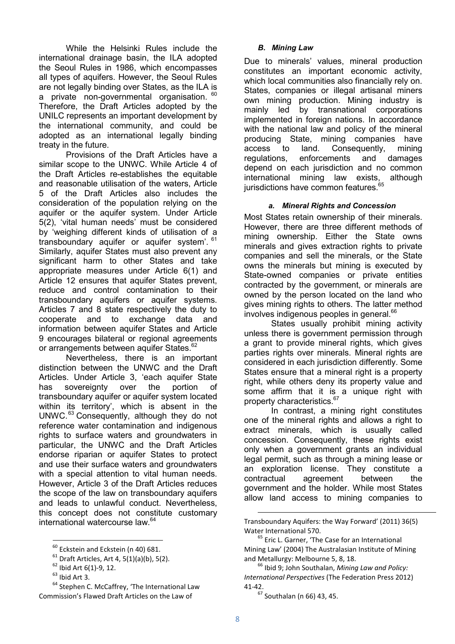While the Helsinki Rules include the international drainage basin, the ILA adopted the Seoul Rules in 1986, which encompasses all types of aquifers. However, the Seoul Rules are not legally binding over States, as the ILA is a private non-governmental organisation. <sup>60</sup> Therefore, the Draft Articles adopted by the UNILC represents an important development by the international community, and could be adopted as an international legally binding treaty in the future.

Provisions of the Draft Articles have a similar scope to the UNWC. While Article 4 of the Draft Articles re-establishes the equitable and reasonable utilisation of the waters, Article 5 of the Draft Articles also includes the consideration of the population relying on the aquifer or the aquifer system. Under Article 5(2), 'vital human needs' must be considered by 'weighing different kinds of utilisation of a transboundary aquifer or aquifer system<sup>' 61</sup> Similarly, aquifer States must also prevent any significant harm to other States and take appropriate measures under Article 6(1) and Article 12 ensures that aquifer States prevent, reduce and control contamination to their transboundary aquifers or aquifer systems. Articles 7 and 8 state respectively the duty to cooperate and to exchange data and information between aquifer States and Article 9 encourages bilateral or regional agreements or arrangements between aquifer States.<sup>62</sup>

Nevertheless, there is an important distinction between the UNWC and the Draft Articles. Under Article 3, 'each aquifer State has sovereignty over the portion of transboundary aquifer or aquifer system located within its territory', which is absent in the  $UNWC.<sup>63</sup> Consecuently, although they do not$ reference water contamination and indigenous rights to surface waters and groundwaters in particular, the UNWC and the Draft Articles endorse riparian or aquifer States to protect and use their surface waters and groundwaters with a special attention to vital human needs. However, Article 3 of the Draft Articles reduces the scope of the law on transboundary aquifers and leads to unlawful conduct. Nevertheless, this concept does not constitute customary international watercourse law.<sup>64</sup>

-

<sup>64</sup> Stephen C. McCaffrey, 'The International Law Commission's Flawed Draft Articles on the Law of

#### *B. Mining Law*

Due to minerals' values, mineral production constitutes an important economic activity, which local communities also financially rely on. States, companies or illegal artisanal miners own mining production. Mining industry is mainly led by transnational corporations implemented in foreign nations. In accordance with the national law and policy of the mineral producing State, mining companies have access to land. Consequently, mining regulations, enforcements and damages depend on each jurisdiction and no common international mining law exists, although jurisdictions have common features.<sup>65</sup>

#### *a. Mineral Rights and Concession*

Most States retain ownership of their minerals. However, there are three different methods of mining ownership. Either the State owns minerals and gives extraction rights to private companies and sell the minerals, or the State owns the minerals but mining is executed by State-owned companies or private entities contracted by the government, or minerals are owned by the person located on the land who gives mining rights to others. The latter method involves indigenous peoples in general.<sup>66</sup>

States usually prohibit mining activity unless there is government permission through a grant to provide mineral rights, which gives parties rights over minerals. Mineral rights are considered in each jurisdiction differently. Some States ensure that a mineral right is a property right, while others deny its property value and some affirm that it is a unique right with property characteristics.<sup>67</sup>

In contrast, a mining right constitutes one of the mineral rights and allows a right to extract minerals, which is usually called concession. Consequently, these rights exist only when a government grants an individual legal permit, such as through a mining lease or an exploration license. They constitute a contractual agreement between the government and the holder. While most States allow land access to mining companies to

<sup>&</sup>lt;sup>60</sup> Eckstein and Eckstein (n 40) 681.

 $61$  Draft Articles, Art 4, 5(1)(a)(b), 5(2).

 $62$  Ibid Art  $6(1)$ -9, 12.

 $63$  Ibid Art 3.

Transboundary Aquifers: the Way Forward' (2011) 36(5) Water International 570.

<sup>&</sup>lt;sup>65</sup> Eric L. Garner, 'The Case for an International Mining Law' (2004) The Australasian Institute of Mining and Metallurgy: Melbourne 5, 8, 18.

<sup>66</sup> Ibid 9; John Southalan, *Mining Law and Policy: International Perspectives* (The Federation Press 2012) 41-42.

 $67$  Southalan (n 66) 43, 45.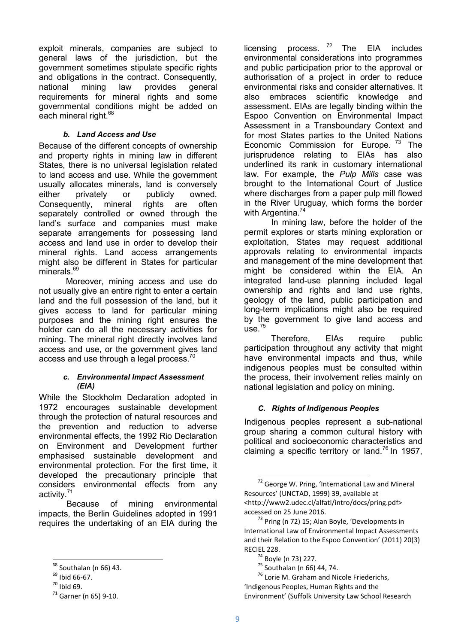exploit minerals, companies are subject to general laws of the jurisdiction, but the government sometimes stipulate specific rights and obligations in the contract. Consequently, national mining law provides general requirements for mineral rights and some governmental conditions might be added on each mineral right.<sup>68</sup>

## *b. Land Access and Use*

Because of the different concepts of ownership and property rights in mining law in different States, there is no universal legislation related to land access and use. While the government usually allocates minerals, land is conversely either privately or publicly owned. Consequently, mineral rights are often separately controlled or owned through the land's surface and companies must make separate arrangements for possessing land access and land use in order to develop their mineral rights. Land access arrangements might also be different in States for particular minerals.<sup>69</sup>

Moreover, mining access and use do not usually give an entire right to enter a certain land and the full possession of the land, but it gives access to land for particular mining purposes and the mining right ensures the holder can do all the necessary activities for mining. The mineral right directly involves land access and use, or the government gives land access and use through a legal process. $70$ 

#### *c. Environmental Impact Assessment (EIA)*

While the Stockholm Declaration adopted in 1972 encourages sustainable development through the protection of natural resources and the prevention and reduction to adverse environmental effects, the 1992 Rio Declaration on Environment and Development further emphasised sustainable development and environmental protection. For the first time, it developed the precautionary principle that considers environmental effects from any activity.<sup>71</sup>

Because of mining environmental impacts, the Berlin Guidelines adopted in 1991 requires the undertaking of an EIA during the

-

licensing process.  $72$  The EIA includes environmental considerations into programmes and public participation prior to the approval or authorisation of a project in order to reduce environmental risks and consider alternatives. It also embraces scientific knowledge and assessment. EIAs are legally binding within the Espoo Convention on Environmental Impact Assessment in a Transboundary Context and for most States parties to the United Nations Economic Commission for Europe.<sup>73</sup> The jurisprudence relating to EIAs has also underlined its rank in customary international law. For example, the *Pulp Mills* case was brought to the International Court of Justice where discharges from a paper pulp mill flowed in the River Uruguay, which forms the border with Argentina.<sup>74</sup>

In mining law, before the holder of the permit explores or starts mining exploration or exploitation, States may request additional approvals relating to environmental impacts and management of the mine development that might be considered within the EIA. An integrated land-use planning included legal ownership and rights and land use rights, geology of the land, public participation and long-term implications might also be required by the government to give land access and use.<sup>75</sup>

Therefore, EIAs require public participation throughout any activity that might have environmental impacts and thus, while indigenous peoples must be consulted within the process, their involvement relies mainly on national legislation and policy on mining.

# *C. Rights of Indigenous Peoples*

Indigenous peoples represent a sub-national group sharing a common cultural history with political and socioeconomic characteristics and claiming a specific territory or land.<sup>76</sup> In 1957,

<sup>68</sup> Southalan (n 66) 43.

<sup>69</sup> Ibid 66-67.

 $70$  Ibid 69.

 $71$  Garner (n 65) 9-10.

 $72$  George W. Pring, 'International Law and Mineral Resources' (UNCTAD, 1999) 39, available at <http://www2.udec.cl/alfatl/intro/docs/pring.pdf> accessed on 25 June 2016.

 $<sup>73</sup>$  Pring (n 72) 15; Alan Boyle, 'Developments in</sup> International Law of Environmental Impact Assessments and their Relation to the Espoo Convention' (2011) 20(3) RECIEL 228.

<sup>74</sup> Boyle (n 73) 227.

 $75$  Southalan (n 66) 44, 74.

<sup>&</sup>lt;sup>76</sup> Lorie M. Graham and Nicole Friederichs, 'Indigenous Peoples, Human Rights and the Environment' (Suffolk University Law School Research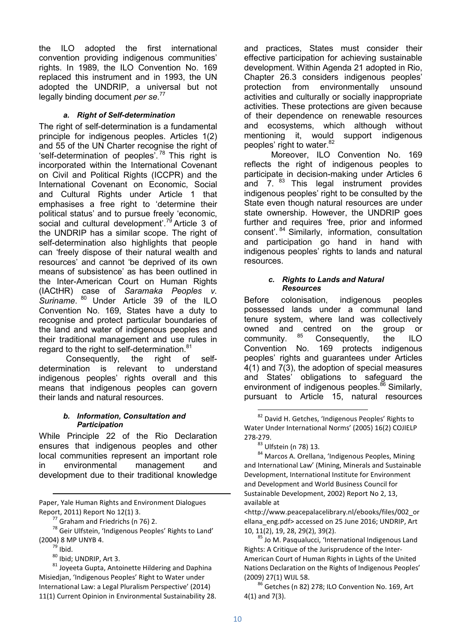the ILO adopted the first international convention providing indigenous communities' rights. In 1989, the ILO Convention No. 169 replaced this instrument and in 1993, the UN adopted the UNDRIP, a universal but not legally binding document *per se*. 77

#### *a. Right of Self-determination*

The right of self-determination is a fundamental principle for indigenous peoples. Articles 1(2) and 55 of the UN Charter recognise the right of 'self-determination of peoples'. <sup>78</sup> This right is incorporated within the International Covenant on Civil and Political Rights (ICCPR) and the International Covenant on Economic, Social and Cultural Rights under Article 1 that emphasises a free right to 'determine their political status' and to pursue freely 'economic, social and cultural development'.<sup>79</sup> Article 3 of the UNDRIP has a similar scope. The right of self-determination also highlights that people can 'freely dispose of their natural wealth and resources' and cannot 'be deprived of its own means of subsistence' as has been outlined in the Inter-American Court on Human Rights (IACtHR) case of *Saramaka Peoples v. Suriname*. <sup>80</sup> Under Article 39 of the ILO Convention No. 169, States have a duty to recognise and protect particular boundaries of the land and water of indigenous peoples and their traditional management and use rules in regard to the right to self-determination.<sup>81</sup>

Consequently, the right of selfdetermination is relevant to understand indigenous peoples' rights overall and this means that indigenous peoples can govern their lands and natural resources.

#### *b. Information, Consultation and Participation*

While Principle 22 of the Rio Declaration ensures that indigenous peoples and other local communities represent an important role in environmental management and development due to their traditional knowledge

Paper, Yale Human Rights and Environment Dialogues Report, 2011) Report No 12(1) 3.

 $77$  Graham and Friedrichs (n 76) 2.

<sup>78</sup> Geir Ulfstein, 'Indigenous Peoples' Rights to Land' (2004) 8 MP UNYB 4.

 $79$  Ibid.

-

<sup>80</sup> Ibid; UNDRIP, Art 3.

 $81$  Joyeeta Gupta, Antoinette Hildering and Daphina Misiedjan, 'Indigenous Peoples' Right to Water under International Law: a Legal Pluralism Perspective' (2014) 11(1) Current Opinion in Environmental Sustainability 28. and practices, States must consider their effective participation for achieving sustainable development. Within Agenda 21 adopted in Rio, Chapter 26.3 considers indigenous peoples' protection from environmentally unsound activities and culturally or socially inappropriate activities. These protections are given because of their dependence on renewable resources and ecosystems, which although without mentioning it, would support indigenous peoples' right to water.<sup>82</sup>

Moreover, ILO Convention No. 169 reflects the right of indigenous peoples to participate in decision-making under Articles 6 and  $7.$   $^{83}$  This legal instrument provides indigenous peoples' right to be consulted by the State even though natural resources are under state ownership. However, the UNDRIP goes further and requires 'free, prior and informed consent'. <sup>84</sup> Similarly, information, consultation and participation go hand in hand with indigenous peoples' rights to lands and natural resources.

#### *c. Rights to Lands and Natural Resources*

Before colonisation, indigenous peoples possessed lands under a communal land tenure system, where land was collectively owned and centred on the group or<br>community  $85$  Consequently, the U.O. community. <sup>85</sup> Consequently, the ILO Convention No. 169 protects indigenous peoples' rights and guarantees under Articles 4(1) and 7(3), the adoption of special measures and States' obligations to safeguard the environment of indigenous peoples.<sup>86</sup> Similarly, pursuant to Article 15, natural resources

-

84 Marcos A. Orellana, 'Indigenous Peoples, Mining and International Law' (Mining, Minerals and Sustainable Development, International Institute for Environment and Development and World Business Council for Sustainable Development, 2002) Report No 2, 13, available at

<http://www.peacepalacelibrary.nl/ebooks/files/002\_or ellana\_eng.pdf> accessed on 25 June 2016; UNDRIP, Art 10, 11(2), 19, 28, 29(2), 39(2).

85 Jo M. Pasqualucci, 'International Indigenous Land Rights: A Critique of the Jurisprudence of the Inter-American Court of Human Rights in Lights of the United Nations Declaration on the Rights of Indigenous Peoples' (2009) 27(1) WIJL 58.

<sup>86</sup> Getches (n 82) 278; ILO Convention No. 169, Art 4(1) and 7(3).

<sup>&</sup>lt;sup>82</sup> David H. Getches, 'Indigenous Peoples' Rights to Water Under International Norms' (2005) 16(2) COJIELP 278-279.

<sup>83</sup> Ulfstein (n 78) 13.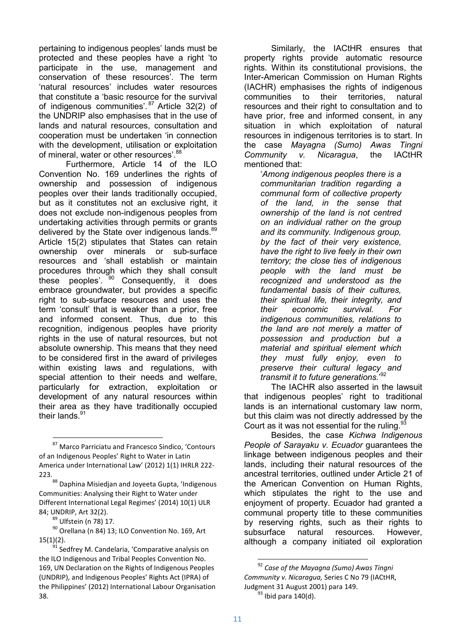pertaining to indigenous peoples' lands must be protected and these peoples have a right 'to participate in the use, management and conservation of these resources'. The term 'natural resources' includes water resources that constitute a 'basic resource for the survival of indigenous communities'.  $87$  Article 32(2) of the UNDRIP also emphasises that in the use of lands and natural resources, consultation and cooperation must be undertaken 'in connection with the development, utilisation or exploitation of mineral, water or other resources'.<sup>88</sup>

Furthermore, Article 14 of the ILO Convention No. 169 underlines the rights of ownership and possession of indigenous peoples over their lands traditionally occupied, but as it constitutes not an exclusive right, it does not exclude non-indigenous peoples from undertaking activities through permits or grants delivered by the State over indigenous lands.<sup>89</sup> Article 15(2) stipulates that States can retain ownership over minerals or sub-surface resources and 'shall establish or maintain procedures through which they shall consult these peoples'.  $90^{\circ}$  Consequently, it does embrace groundwater, but provides a specific right to sub-surface resources and uses the term 'consult' that is weaker than a prior, free and informed consent. Thus, due to this recognition, indigenous peoples have priority rights in the use of natural resources, but not absolute ownership. This means that they need to be considered first in the award of privileges within existing laws and regulations, with special attention to their needs and welfare, particularly for extraction, exploitation or development of any natural resources within their area as they have traditionally occupied their lands.<sup>91</sup>

87 Marco Parriciatu and Francesco Sindico, 'Contours of an Indigenous Peoples' Right to Water in Latin America under International Law' (2012) 1(1) IHRLR 222- 223.

88 Daphina Misiedjan and Joyeeta Gupta, 'Indigenous Communities: Analysing their Right to Water under Different International Legal Regimes' (2014) 10(1) ULR 84; UNDRIP, Art 32(2).

<sup>89</sup> Ulfstein (n 78) 17.

<u>.</u>

<sup>90</sup> Orellana (n 84) 13; ILO Convention No. 169, Art 15(1)(2).

Similarly, the IACtHR ensures that property rights provide automatic resource rights. Within its constitutional provisions, the Inter-American Commission on Human Rights (IACHR) emphasises the rights of indigenous communities to their territories, natural resources and their right to consultation and to have prior, free and informed consent, in any situation in which exploitation of natural resources in indigenous territories is to start. In the case *Mayagna (Sumo) Awas Tingni Community v. Nicaragua*, the IACtHR mentioned that:

'*Among indigenous peoples there is a communitarian tradition regarding a communal form of collective property of the land, in the sense that ownership of the land is not centred on an individual rather on the group and its community. Indigenous group, by the fact of their very existence, have the right to live feely in their own territory; the close ties of indigenous people with the land must be recognized and understood as the fundamental basis of their cultures, their spiritual life, their integrity, and their economic survival. For indigenous communities, relations to the land are not merely a matter of possession and production but a material and spiritual element which they must fully enjoy, even to preserve their cultural legacy and transmit it to future generations.*' 92

The IACHR also asserted in the lawsuit that indigenous peoples' right to traditional lands is an international customary law norm, but this claim was not directly addressed by the Court as it was not essential for the ruling.  $93$ 

Besides, the case *Kichwa Indigenous People of Sarayaku v. Ecuador* guarantees the linkage between indigenous peoples and their lands, including their natural resources of the ancestral territories, outlined under Article 21 of the American Convention on Human Rights, which stipulates the right to the use and enjoyment of property. Ecuador had granted a communal property title to these communities by reserving rights, such as their rights to subsurface natural resources. However, although a company initiated oil exploration

 $91$  Sedfrey M. Candelaria. 'Comparative analysis on the ILO Indigenous and Tribal Peoples Convention No. 169, UN Declaration on the Rights of Indigenous Peoples (UNDRIP), and Indigenous Peoples' Rights Act (IPRA) of the Philippines' (2012) International Labour Organisation 38.

<sup>92</sup> *Case of the Mayagna (Sumo) Awas Tingni Community v. Nicaragua,* Series C No 79 (IACtHR, Judgment 31 August 2001) para 149.  $93$  Ibid para 140(d).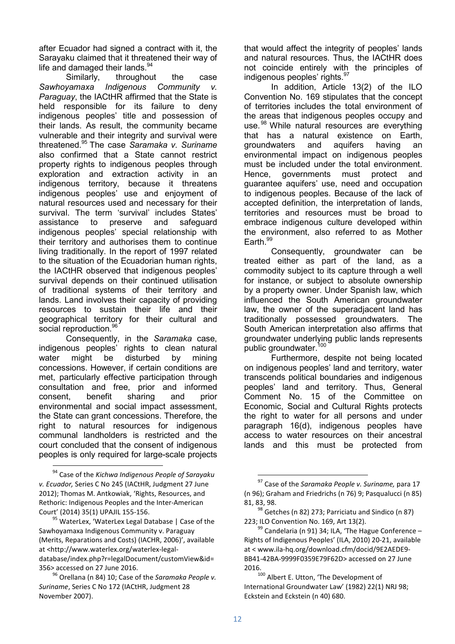after Ecuador had signed a contract with it, the Sarayaku claimed that it threatened their way of life and damaged their lands. $94$ 

Similarly, throughout the case *Sawhoyamaxa Indigenous Community v. Paraguay*, the IACtHR affirmed that the State is held responsible for its failure to deny indigenous peoples' title and possession of their lands. As result, the community became vulnerable and their integrity and survival were threatened.<sup>95</sup> The case *Saramaka v. Suriname* also confirmed that a State cannot restrict property rights to indigenous peoples through exploration and extraction activity in an indigenous territory, because it threatens indigenous peoples' use and enjoyment of natural resources used and necessary for their survival. The term 'survival' includes States' assistance to preserve and safeguard indigenous peoples' special relationship with their territory and authorises them to continue living traditionally. In the report of 1997 related to the situation of the Ecuadorian human rights, the IACtHR observed that indigenous peoples' survival depends on their continued utilisation of traditional systems of their territory and lands. Land involves their capacity of providing resources to sustain their life and their geographical territory for their cultural and social reproduction.<sup>96</sup>

Consequently, in the *Saramaka* case, indigenous peoples' rights to clean natural water might be disturbed by mining concessions. However, if certain conditions are met, particularly effective participation through consultation and free, prior and informed consent, benefit sharing and prior environmental and social impact assessment, the State can grant concessions. Therefore, the right to natural resources for indigenous communal landholders is restricted and the court concluded that the consent of indigenous peoples is only required for large-scale projects

<u>.</u>

that would affect the integrity of peoples' lands and natural resources. Thus, the IACtHR does not coincide entirely with the principles of indigenous peoples' rights.<sup>97</sup>

In addition, Article 13(2) of the ILO Convention No. 169 stipulates that the concept of territories includes the total environment of the areas that indigenous peoples occupy and use.<sup>98</sup> While natural resources are everything that has a natural existence on Earth, groundwaters and aquifers having an environmental impact on indigenous peoples must be included under the total environment.<br>Hence, governments must protect and Hence, governments must protect and guarantee aquifers' use, need and occupation to indigenous peoples. Because of the lack of accepted definition, the interpretation of lands, territories and resources must be broad to embrace indigenous culture developed within the environment, also referred to as Mother Earth. $99$ 

Consequently, groundwater can be treated either as part of the land, as a commodity subject to its capture through a well for instance, or subject to absolute ownership by a property owner. Under Spanish law, which influenced the South American groundwater law, the owner of the superadjacent land has traditionally possessed groundwaters. The South American interpretation also affirms that groundwater underlying public lands represents public groundwater.<sup>100</sup>

Furthermore, despite not being located on indigenous peoples' land and territory, water transcends political boundaries and indigenous peoples' land and territory. Thus, General Comment No. 15 of the Committee on Economic, Social and Cultural Rights protects the right to water for all persons and under paragraph 16(d), indigenous peoples have access to water resources on their ancestral lands and this must be protected from

<sup>94</sup> Case of the *Kichwa Indigenous People of Sarayaku v. Ecuador,* Series C No 245 (IACtHR, Judgment 27 June 2012); Thomas M. Antkowiak, 'Rights, Resources, and Rethoric: Indigenous Peoples and the Inter-American Court' (2014) 35(1) UPAJIL 155-156.

<sup>&</sup>lt;sup>95</sup> WaterLex, 'WaterLex Legal Database | Case of the Sawhoyamaxa Indigenous Community v. Paraguay (Merits, Reparations and Costs) (IACHR, 2006)', available at <http://www.waterlex.org/waterlex-legaldatabase/index.php?r=legalDocument/customView&id= 356> accessed on 27 June 2016.

<sup>96</sup> Orellana (n 84) 10; Case of the *Saramaka People v. Suriname*, Series C No 172 (IACtHR, Judgment 28 November 2007).

<sup>97</sup> Case of the *Saramaka People v. Suriname,* para 17 (n 96); Graham and Friedrichs (n 76) 9; Pasqualucci (n 85) 81, 83, 98.

<sup>98</sup> Getches (n 82) 273; Parriciatu and Sindico (n 87) 223; ILO Convention No. 169, Art 13(2).

 $99$  Candelaria (n 91) 34; ILA, 'The Hague Conference -Rights of Indigenous Peoples' (ILA, 2010) 20-21, available at < www.ila-hq.org/download.cfm/docid/9E2AEDE9- BB41-42BA-9999F0359E79F62D> accessed on 27 June 2016.

<sup>100</sup> Albert E. Utton, 'The Development of International Groundwater Law' (1982) 22(1) NRJ 98; Eckstein and Eckstein (n 40) 680.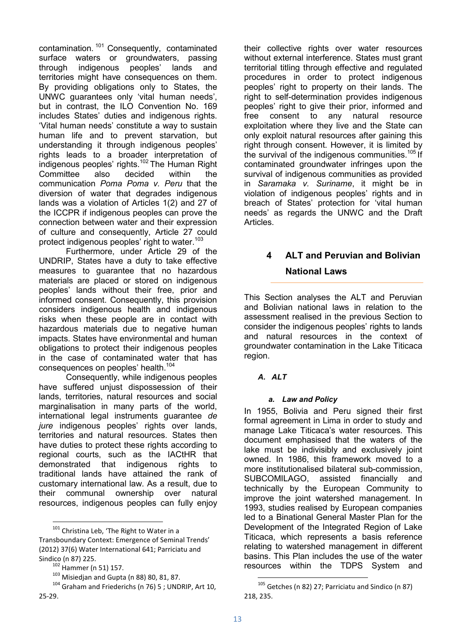contamination.  $101$  Consequently, contaminated surface waters or groundwaters, passing through indigenous peoples' lands and territories might have consequences on them. By providing obligations only to States, the UNWC guarantees only 'vital human needs', but in contrast, the ILO Convention No. 169 includes States' duties and indigenous rights. 'Vital human needs' constitute a way to sustain human life and to prevent starvation, but understanding it through indigenous peoples' rights leads to a broader interpretation of indigenous peoples' rights.<sup>102</sup> The Human Right Committee also decided within the communication *Poma Poma v. Peru* that the diversion of water that degrades indigenous lands was a violation of Articles 1(2) and 27 of the ICCPR if indigenous peoples can prove the connection between water and their expression of culture and consequently, Article 27 could protect indigenous peoples' right to water.<sup>103</sup>

Furthermore, under Article 29 of the UNDRIP, States have a duty to take effective measures to guarantee that no hazardous materials are placed or stored on indigenous peoples' lands without their free, prior and informed consent. Consequently, this provision considers indigenous health and indigenous risks when these people are in contact with hazardous materials due to negative human impacts. States have environmental and human obligations to protect their indigenous peoples in the case of contaminated water that has consequences on peoples' health.<sup>104</sup>

Consequently, while indigenous peoples have suffered unjust dispossession of their lands, territories, natural resources and social marginalisation in many parts of the world, international legal instruments guarantee *de jure* indigenous peoples' rights over lands, territories and natural resources. States then have duties to protect these rights according to regional courts, such as the IACtHR that demonstrated that indigenous rights to traditional lands have attained the rank of customary international law. As a result, due to their communal ownership over natural resources, indigenous peoples can fully enjoy

<sup>101</sup> Christina Leb, 'The Right to Water in a Transboundary Context: Emergence of Seminal Trends' (2012) 37(6) Water International 641; Parriciatu and Sindico (n 87) 225.

-

their collective rights over water resources without external interference. States must grant territorial titling through effective and regulated procedures in order to protect indigenous peoples' right to property on their lands. The right to self-determination provides indigenous peoples' right to give their prior, informed and free consent to any natural resource exploitation where they live and the State can only exploit natural resources after gaining this right through consent. However, it is limited by the survival of the indigenous communities. $105$  If contaminated groundwater infringes upon the survival of indigenous communities as provided in *Saramaka v. Suriname*, it might be in violation of indigenous peoples' rights and in breach of States' protection for 'vital human needs' as regards the UNWC and the Draft Articles.

# **4 ALT and Peruvian and Bolivian National Laws**

This Section analyses the ALT and Peruvian and Bolivian national laws in relation to the assessment realised in the previous Section to consider the indigenous peoples' rights to lands and natural resources in the context of groundwater contamination in the Lake Titicaca region.

# *A. ALT*

# *a. Law and Policy*

In 1955, Bolivia and Peru signed their first formal agreement in Lima in order to study and manage Lake Titicaca's water resources. This document emphasised that the waters of the lake must be indivisibly and exclusively joint owned. In 1986, this framework moved to a more institutionalised bilateral sub-commission, SUBCOMILAGO, assisted financially and technically by the European Community to improve the joint watershed management. In 1993, studies realised by European companies led to a Binational General Master Plan for the Development of the Integrated Region of Lake Titicaca, which represents a basis reference relating to watershed management in different basins. This Plan includes the use of the water resources within the TDPS System and

 $102$  Hammer (n 51) 157.

 $103$  Misiedjan and Gupta (n 88) 80, 81, 87.

<sup>104</sup> Graham and Friederichs (n 76) 5 ; UNDRIP, Art 10, 25-29.

<sup>105</sup> Getches (n 82) 27; Parriciatu and Sindico (n 87) 218, 235.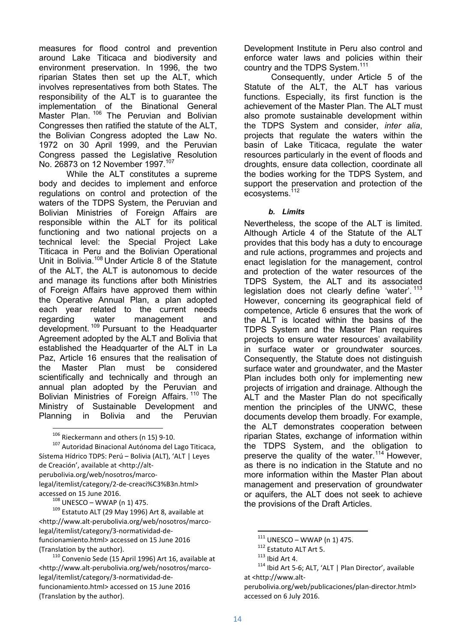measures for flood control and prevention around Lake Titicaca and biodiversity and environment preservation. In 1996, the two riparian States then set up the ALT, which involves representatives from both States. The responsibility of the ALT is to guarantee the implementation of the Binational General Master Plan.<sup>106</sup> The Peruvian and Bolivian Congresses then ratified the statute of the ALT, the Bolivian Congress adopted the Law No. 1972 on 30 April 1999, and the Peruvian Congress passed the Legislative Resolution No. 26873 on 12 November 1997.<sup>107</sup>

While the ALT constitutes a supreme body and decides to implement and enforce regulations on control and protection of the waters of the TDPS System, the Peruvian and Bolivian Ministries of Foreign Affairs are responsible within the ALT for its political functioning and two national projects on a technical level: the Special Project Lake Titicaca in Peru and the Bolivian Operational Unit in Bolivia.<sup>108</sup> Under Article 8 of the Statute of the ALT, the ALT is autonomous to decide and manage its functions after both Ministries of Foreign Affairs have approved them within the Operative Annual Plan, a plan adopted each year related to the current needs regarding water management and development.<sup>109</sup> Pursuant to the Headquarter Agreement adopted by the ALT and Bolivia that established the Headquarter of the ALT in La Paz, Article 16 ensures that the realisation of the Master Plan must be considered scientifically and technically and through an annual plan adopted by the Peruvian and Bolivian Ministries of Foreign Affairs.<sup>110</sup> The Ministry of Sustainable Development and<br>Planning in Bolivia and the Peruvian Planning in Bolivia and the Peruvian

<sup>106</sup> Rieckermann and others (n 15) 9-10.

-

<sup>107</sup> Autoridad Binacional Autónoma del Lago Titicaca, Sístema Hídrico TDPS: Perú – Bolivia (ALT), 'ALT | Leyes de Creación', available at <http://altperubolivia.org/web/nosotros/marcolegal/itemlist/category/2-de-creaci%C3%B3n.html> accessed on 15 June 2016.

 $108$  UNESCO – WWAP (n 1) 475.

 $109$  Estatuto ALT (29 May 1996) Art 8, available at <http://www.alt-perubolivia.org/web/nosotros/marcolegal/itemlist/category/3-normatividad-defuncionamiento.html> accessed on 15 June 2016 (Translation by the author).

<sup>110</sup> Convenio Sede (15 April 1996) Art 16, available at <http://www.alt-perubolivia.org/web/nosotros/marcolegal/itemlist/category/3-normatividad-defuncionamiento.html> accessed on 15 June 2016 (Translation by the author).

Development Institute in Peru also control and enforce water laws and policies within their country and the TDPS System.<sup>111</sup>

Consequently, under Article 5 of the Statute of the ALT, the ALT has various functions. Especially, its first function is the achievement of the Master Plan. The ALT must also promote sustainable development within the TDPS System and consider, *inter alia*, projects that regulate the waters within the basin of Lake Titicaca, regulate the water resources particularly in the event of floods and droughts, ensure data collection, coordinate all the bodies working for the TDPS System, and support the preservation and protection of the ecosystems.<sup>112</sup>

#### *b. Limits*

Nevertheless, the scope of the ALT is limited. Although Article 4 of the Statute of the ALT provides that this body has a duty to encourage and rule actions, programmes and projects and enact legislation for the management, control and protection of the water resources of the TDPS System, the ALT and its associated legislation does not clearly define 'water'.<sup>113</sup> However, concerning its geographical field of competence, Article 6 ensures that the work of the ALT is located within the basins of the TDPS System and the Master Plan requires projects to ensure water resources' availability in surface water or groundwater sources. Consequently, the Statute does not distinguish surface water and groundwater, and the Master Plan includes both only for implementing new projects of irrigation and drainage. Although the ALT and the Master Plan do not specifically mention the principles of the UNWC, these documents develop them broadly. For example, the ALT demonstrates cooperation between riparian States, exchange of information within the TDPS System, and the obligation to preserve the quality of the water.<sup>114</sup> However, as there is no indication in the Statute and no more information within the Master Plan about management and preservation of groundwater or aquifers, the ALT does not seek to achieve the provisions of the Draft Articles.

 $111$  UNESCO – WWAP (n 1) 475.

<sup>112</sup> Estatuto ALT Art 5.

 $113$  Ibid Art 4.

<sup>&</sup>lt;sup>114</sup> Ibid Art 5-6; ALT, 'ALT | Plan Director', available at <http://www.alt-

perubolivia.org/web/publicaciones/plan-director.html> accessed on 6 July 2016.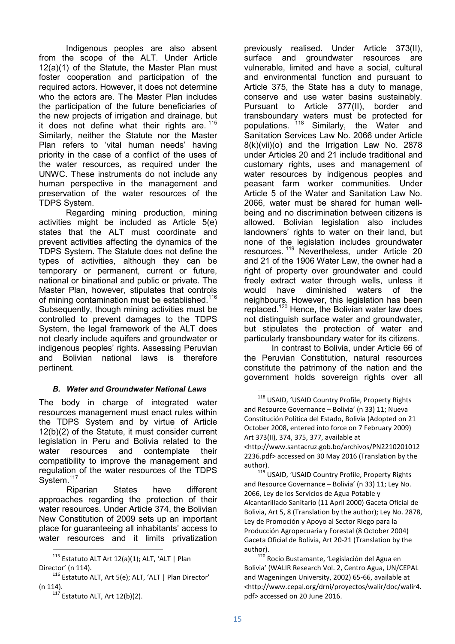Indigenous peoples are also absent from the scope of the ALT. Under Article 12(a)(1) of the Statute, the Master Plan must foster cooperation and participation of the required actors. However, it does not determine who the actors are. The Master Plan includes the participation of the future beneficiaries of the new projects of irrigation and drainage, but it does not define what their rights are.  $115$ Similarly, neither the Statute nor the Master Plan refers to 'vital human needs' having priority in the case of a conflict of the uses of the water resources, as required under the UNWC. These instruments do not include any human perspective in the management and preservation of the water resources of the TDPS System.

Regarding mining production, mining activities might be included as Article 5(e) states that the ALT must coordinate and prevent activities affecting the dynamics of the TDPS System. The Statute does not define the types of activities, although they can be temporary or permanent, current or future, national or binational and public or private. The Master Plan, however, stipulates that controls of mining contamination must be established.<sup>116</sup> Subsequently, though mining activities must be controlled to prevent damages to the TDPS System, the legal framework of the ALT does not clearly include aquifers and groundwater or indigenous peoples' rights. Assessing Peruvian and Bolivian national laws is therefore pertinent.

#### *B. Water and Groundwater National Laws*

The body in charge of integrated water resources management must enact rules within the TDPS System and by virtue of Article 12(b)(2) of the Statute, it must consider current legislation in Peru and Bolivia related to the water resources and contemplate their compatibility to improve the management and regulation of the water resources of the TDPS System.<sup>117</sup>

Riparian States have different approaches regarding the protection of their water resources. Under Article 374, the Bolivian New Constitution of 2009 sets up an important place for guaranteeing all inhabitants' access to water resources and it limits privatization

<u>.</u>

previously realised. Under Article 373(II), surface and groundwater resources are vulnerable, limited and have a social, cultural and environmental function and pursuant to Article 375, the State has a duty to manage, conserve and use water basins sustainably. Pursuant to Article 377(II), border and transboundary waters must be protected for populations. <sup>118</sup> Similarly, the Water and Sanitation Services Law No. 2066 under Article 8(k)(vii)(o) and the Irrigation Law No. 2878 under Articles 20 and 21 include traditional and customary rights, uses and management of water resources by indigenous peoples and peasant farm worker communities. Under Article 5 of the Water and Sanitation Law No. 2066, water must be shared for human wellbeing and no discrimination between citizens is allowed. Bolivian legislation also includes landowners' rights to water on their land, but none of the legislation includes groundwater resources. <sup>119</sup> Nevertheless, under Article 20 and 21 of the 1906 Water Law, the owner had a right of property over groundwater and could freely extract water through wells, unless it would have diminished waters of the neighbours. However, this legislation has been replaced.<sup>120</sup> Hence, the Bolivian water law does not distinguish surface water and groundwater, but stipulates the protection of water and particularly transboundary water for its citizens.

In contrast to Bolivia, under Article 66 of the Peruvian Constitution, natural resources constitute the patrimony of the nation and the government holds sovereign rights over all

119 USAID, 'USAID Country Profile, Property Rights and Resource Governance – Bolivia' (n 33) 11; Ley No. 2066, Ley de los Servicios de Agua Potable y Alcantarillado Sanitario (11 April 2000) Gaceta Oficial de Bolivia, Art 5, 8 (Translation by the author); Ley No. 2878, Ley de Promoción y Apoyo al Sector Riego para la Producción Agropecuaria y Forestal (8 October 2004) Gaceta Oficial de Bolivia, Art 20-21 (Translation by the author).

<sup>120</sup> Rocio Bustamante, 'Legislación del Agua en Bolivia' (WALIR Research Vol. 2, Centro Agua, UN/CEPAL and Wageningen University, 2002) 65-66, available at <http://www.cepal.org/drni/proyectos/walir/doc/walir4. pdf> accessed on 20 June 2016.

 $115$  Estatuto ALT Art 12(a)(1); ALT, 'ALT | Plan Director' (n 114).

<sup>116</sup> Estatuto ALT, Art 5(e); ALT, 'ALT | Plan Director' (n 114).

 $117$  Estatuto ALT, Art 12(b)(2).

<sup>118</sup> USAID, 'USAID Country Profile, Property Rights and Resource Governance – Bolivia' (n 33) 11; Nueva Constitución Política del Estado, Bolivia (Adopted on 21 October 2008, entered into force on 7 February 2009) Art 373(II), 374, 375, 377, available at <http://www.santacruz.gob.bo/archivos/PN2210201012 2236.pdf> accessed on 30 May 2016 (Translation by the author).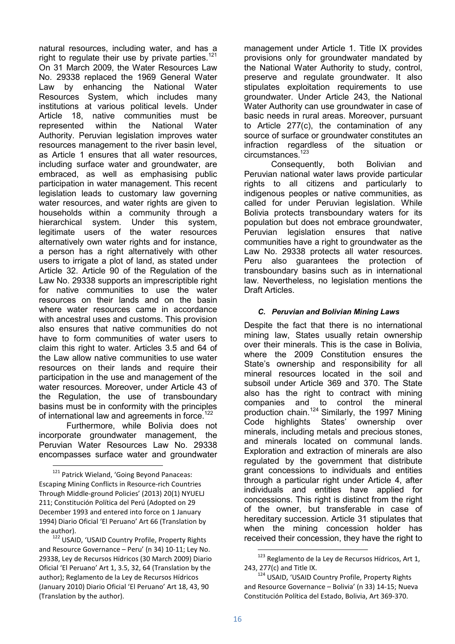natural resources, including water, and has a right to regulate their use by private parties.<sup>121</sup> On 31 March 2009, the Water Resources Law No. 29338 replaced the 1969 General Water Law by enhancing the National Water Resources System, which includes many institutions at various political levels. Under Article 18, native communities must be represented within the National Water Authority. Peruvian legislation improves water resources management to the river basin level, as Article 1 ensures that all water resources, including surface water and groundwater, are embraced, as well as emphasising public participation in water management. This recent legislation leads to customary law governing water resources, and water rights are given to households within a community through a hierarchical system. Under this system, legitimate users of the water resources alternatively own water rights and for instance, a person has a right alternatively with other users to irrigate a plot of land, as stated under Article 32. Article 90 of the Regulation of the Law No. 29338 supports an imprescriptible right for native communities to use the water resources on their lands and on the basin where water resources came in accordance with ancestral uses and customs. This provision also ensures that native communities do not have to form communities of water users to claim this right to water. Articles 3.5 and 64 of the Law allow native communities to use water resources on their lands and require their participation in the use and management of the water resources. Moreover, under Article 43 of the Regulation, the use of transboundary basins must be in conformity with the principles of international law and agreements in force.<sup>122</sup>

Furthermore, while Bolivia does not incorporate groundwater management, the Peruvian Water Resources Law No. 29338 encompasses surface water and groundwater

<u>.</u>

management under Article 1. Title IX provides provisions only for groundwater mandated by the National Water Authority to study, control, preserve and regulate groundwater. It also stipulates exploitation requirements to use groundwater. Under Article 243, the National Water Authority can use groundwater in case of basic needs in rural areas. Moreover, pursuant to Article 277(c), the contamination of any source of surface or groundwater constitutes an infraction regardless of the situation or circumstances.<sup>123</sup>

Consequently, both Bolivian and Peruvian national water laws provide particular rights to all citizens and particularly to indigenous peoples or native communities, as called for under Peruvian legislation. While Bolivia protects transboundary waters for its population but does not embrace groundwater, Peruvian legislation ensures that native communities have a right to groundwater as the Law No. 29338 protects all water resources. Peru also guarantees the protection of transboundary basins such as in international law. Nevertheless, no legislation mentions the Draft Articles.

#### *C. Peruvian and Bolivian Mining Laws*

Despite the fact that there is no international mining law, States usually retain ownership over their minerals. This is the case in Bolivia, where the 2009 Constitution ensures the State's ownership and responsibility for all mineral resources located in the soil and subsoil under Article 369 and 370. The State also has the right to contract with mining companies and to control the mineral production chain.<sup>124</sup> Similarly, the 1997 Mining Code highlights States' ownership over minerals, including metals and precious stones, and minerals located on communal lands. Exploration and extraction of minerals are also regulated by the government that distribute grant concessions to individuals and entities through a particular right under Article 4, after individuals and entities have applied for concessions. This right is distinct from the right of the owner, but transferable in case of hereditary succession. Article 31 stipulates that when the mining concession holder has received their concession, they have the right to

<sup>&</sup>lt;sup>121</sup> Patrick Wieland, 'Going Beyond Panaceas: Escaping Mining Conflicts in Resource-rich Countries Through Middle-ground Policies' (2013) 20(1) NYUELJ 211; Constitución Política del Perú (Adopted on 29 December 1993 and entered into force on 1 January 1994) Diario Oficial 'El Peruano' Art 66 (Translation by the author).

<sup>122</sup> USAID, 'USAID Country Profile, Property Rights and Resource Governance – Peru' (n 34) 10-11; Ley No. 29338, Ley de Recursos Hídricos (30 March 2009) Diario Oficial 'El Peruano' Art 1, 3.5, 32, 64 (Translation by the author); Reglamento de la Ley de Recursos Hídricos (January 2010) Diario Oficial 'El Peruano' Art 18, 43, 90 (Translation by the author).

<sup>&</sup>lt;sup>123</sup> Reglamento de la Ley de Recursos Hídricos, Art 1, 243, 277(c) and Title IX.

<sup>&</sup>lt;sup>124</sup> USAID, 'USAID Country Profile, Property Rights and Resource Governance – Bolivia' (n 33) 14-15; Nueva Constitución Política del Estado, Bolivia, Art 369-370.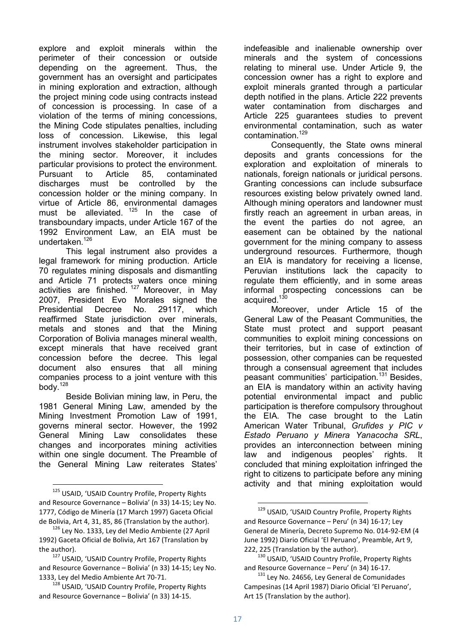explore and exploit minerals within the perimeter of their concession or outside depending on the agreement. Thus, the government has an oversight and participates in mining exploration and extraction, although the project mining code using contracts instead of concession is processing. In case of a violation of the terms of mining concessions, the Mining Code stipulates penalties, including loss of concession. Likewise, this legal instrument involves stakeholder participation in the mining sector. Moreover, it includes particular provisions to protect the environment. Pursuant to Article 85, contaminated discharges must be controlled by the concession holder or the mining company. In virtue of Article 86, environmental damages must be alleviated. <sup>125</sup> In the case of transboundary impacts, under Article 167 of the 1992 Environment Law, an EIA must be undertaken.<sup>126</sup>

This legal instrument also provides a legal framework for mining production. Article 70 regulates mining disposals and dismantling and Article 71 protects waters once mining activities are finished.<sup>127</sup> Moreover, in May 2007, President Evo Morales signed the<br>Presidential Decree No. 29117, which Presidential Decree No. 29117, which reaffirmed State jurisdiction over minerals, metals and stones and that the Mining Corporation of Bolivia manages mineral wealth, except minerals that have received grant concession before the decree. This legal document also ensures that all mining companies process to a joint venture with this body. $128$ 

Beside Bolivian mining law, in Peru, the 1981 General Mining Law, amended by the Mining Investment Promotion Law of 1991, governs mineral sector. However, the 1992 General Mining Law consolidates these changes and incorporates mining activities within one single document. The Preamble of the General Mining Law reiterates States'

<u>.</u>

indefeasible and inalienable ownership over minerals and the system of concessions relating to mineral use. Under Article 9, the concession owner has a right to explore and exploit minerals granted through a particular depth notified in the plans. Article 222 prevents water contamination from discharges and Article 225 guarantees studies to prevent environmental contamination, such as water contamination.<sup>129</sup>

Consequently, the State owns mineral deposits and grants concessions for the exploration and exploitation of minerals to nationals, foreign nationals or juridical persons. Granting concessions can include subsurface resources existing below privately owned land. Although mining operators and landowner must firstly reach an agreement in urban areas, in the event the parties do not agree, an easement can be obtained by the national government for the mining company to assess underground resources. Furthermore, though an EIA is mandatory for receiving a license, Peruvian institutions lack the capacity to regulate them efficiently, and in some areas informal prospecting concessions can be acquired.<sup>130</sup>

Moreover, under Article 15 of the General Law of the Peasant Communities, the State must protect and support peasant communities to exploit mining concessions on their territories, but in case of extinction of possession, other companies can be requested through a consensual agreement that includes peasant communities' participation.<sup>131</sup> Besides, an EIA is mandatory within an activity having potential environmental impact and public participation is therefore compulsory throughout the EIA. The case brought to the Latin American Water Tribunal, *Grufides y PIC v Estado Peruano y Minera Yanacocha SRL*, provides an interconnection between mining law and indigenous peoples' rights. It concluded that mining exploitation infringed the right to citizens to participate before any mining activity and that mining exploitation would

<sup>125</sup> USAID, 'USAID Country Profile, Property Rights and Resource Governance – Bolivia' (n 33) 14-15; Ley No. 1777, Código de Minería (17 March 1997) Gaceta Oficial de Bolivia, Art 4, 31, 85, 86 (Translation by the author).

<sup>&</sup>lt;sup>126</sup> Ley No. 1333, Ley del Medio Ambiente (27 April 1992) Gaceta Oficial de Bolivia, Art 167 (Translation by the author).

<sup>127</sup> USAID, 'USAID Country Profile, Property Rights and Resource Governance – Bolivia' (n 33) 14-15; Ley No. 1333, Ley del Medio Ambiente Art 70-71.

<sup>&</sup>lt;sup>128</sup> USAID, 'USAID Country Profile, Property Rights and Resource Governance – Bolivia' (n 33) 14-15.

<sup>&</sup>lt;sup>129</sup> USAID, 'USAID Country Profile, Property Rights and Resource Governance – Peru' (n 34) 16-17; Ley General de Minería, Decreto Supremo No. 014-92-EM (4 June 1992) Diario Oficial 'El Peruano', Preamble, Art 9, 222, 225 (Translation by the author).

<sup>130</sup> USAID, 'USAID Country Profile, Property Rights and Resource Governance – Peru' (n 34) 16-17.

 $131$  Ley No. 24656, Ley General de Comunidades Campesinas (14 April 1987) Diario Oficial 'El Peruano', Art 15 (Translation by the author).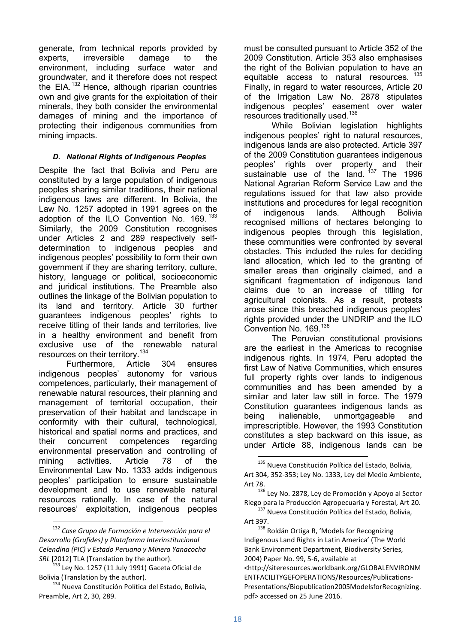generate, from technical reports provided by experts, irreversible damage to the environment, including surface water and groundwater, and it therefore does not respect the EIA. $132$  Hence, although riparian countries own and give grants for the exploitation of their minerals, they both consider the environmental damages of mining and the importance of protecting their indigenous communities from mining impacts.

## *D. National Rights of Indigenous Peoples*

Despite the fact that Bolivia and Peru are constituted by a large population of indigenous peoples sharing similar traditions, their national indigenous laws are different. In Bolivia, the Law No. 1257 adopted in 1991 agrees on the adoption of the ILO Convention No. 169.<sup>133</sup> Similarly, the 2009 Constitution recognises under Articles 2 and 289 respectively selfdetermination to indigenous peoples and indigenous peoples' possibility to form their own government if they are sharing territory, culture, history, language or political, socioeconomic and juridical institutions. The Preamble also outlines the linkage of the Bolivian population to its land and territory. Article 30 further guarantees indigenous peoples' rights to receive titling of their lands and territories, live in a healthy environment and benefit from exclusive use of the renewable natural resources on their territory.<sup>134</sup>

Furthermore, Article 304 ensures indigenous peoples' autonomy for various competences, particularly, their management of renewable natural resources, their planning and management of territorial occupation, their preservation of their habitat and landscape in conformity with their cultural, technological, historical and spatial norms and practices, and their concurrent competences regarding environmental preservation and controlling of mining activities. Article 78 of the Environmental Law No. 1333 adds indigenous peoples' participation to ensure sustainable development and to use renewable natural resources rationally. In case of the natural resources' exploitation, indigenous peoples

-

must be consulted pursuant to Article 352 of the 2009 Constitution. Article 353 also emphasises the right of the Bolivian population to have an equitable access to natural resources. 135 Finally, in regard to water resources, Article 20 of the Irrigation Law No. 2878 stipulates indigenous peoples' easement over water resources traditionally used.<sup>136</sup>

While Bolivian legislation highlights indigenous peoples' right to natural resources, indigenous lands are also protected. Article 397 of the 2009 Constitution guarantees indigenous peoples' rights over property and their sustainable use of the land.  $137$  The 1996 National Agrarian Reform Service Law and the regulations issued for that law also provide institutions and procedures for legal recognition of indigenous lands. Although Bolivia recognised millions of hectares belonging to indigenous peoples through this legislation, these communities were confronted by several obstacles. This included the rules for deciding land allocation, which led to the granting of smaller areas than originally claimed, and a significant fragmentation of indigenous land claims due to an increase of titling for agricultural colonists. As a result, protests arose since this breached indigenous peoples' rights provided under the UNDRIP and the ILO Convention No. 169.<sup>138</sup>

The Peruvian constitutional provisions are the earliest in the Americas to recognise indigenous rights. In 1974, Peru adopted the first Law of Native Communities, which ensures full property rights over lands to indigenous communities and has been amended by a similar and later law still in force. The 1979 Constitution guarantees indigenous lands as being inalienable, unmortgageable and imprescriptible. However, the 1993 Constitution constitutes a step backward on this issue, as under Article 88, indigenous lands can be

<sup>138</sup> Roldán Ortiga R, 'Models for Recognizing Indigenous Land Rights in Latin America' (The World Bank Environment Department, Biodiversity Series, 2004) Paper No. 99, 5-6, available at <http://siteresources.worldbank.org/GLOBALENVIRONM ENTFACILITYGEFOPERATIONS/Resources/Publications-Presentations/Biopublication2005ModelsforRecognizing. pdf> accessed on 25 June 2016.

<sup>132</sup> *Case Grupo de Formación e Intervención para el Desarrollo (Grufides) y Plataforma Interinstitucional Celendina (PIC) v Estado Peruano y Minera Yanacocha SRL* [2012] TLA (Translation by the author).

 $133$  Ley No. 1257 (11 July 1991) Gaceta Oficial de Bolivia (Translation by the author).

<sup>134</sup> Nueva Constitución Política del Estado, Bolivia, Preamble, Art 2, 30, 289.

<sup>135</sup> Nueva Constitución Política del Estado, Bolivia, Art 304, 352-353; Ley No. 1333, Ley del Medio Ambiente, Art 78.

<sup>136</sup> Ley No. 2878, Ley de Promoción y Apoyo al Sector Riego para la Producción Agropecuaria y Forestal, Art 20.

<sup>137</sup> Nueva Constitución Política del Estado, Bolivia, Art 397.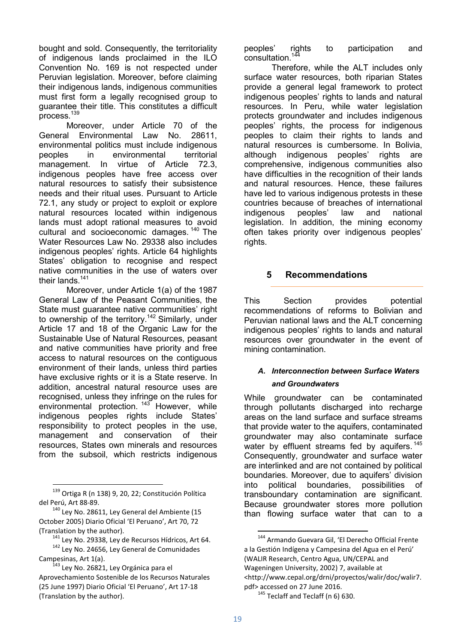bought and sold. Consequently, the territoriality of indigenous lands proclaimed in the ILO Convention No. 169 is not respected under Peruvian legislation. Moreover, before claiming their indigenous lands, indigenous communities must first form a legally recognised group to guarantee their title. This constitutes a difficult process<sup>139</sup>

Moreover, under Article 70 of the General Environmental Law No. 28611, environmental politics must include indigenous peoples in environmental territorial management. In virtue of Article 72.3, indigenous peoples have free access over natural resources to satisfy their subsistence needs and their ritual uses. Pursuant to Article 72.1, any study or project to exploit or explore natural resources located within indigenous lands must adopt rational measures to avoid cultural and socioeconomic damages.  $140$  The Water Resources Law No. 29338 also includes indigenous peoples' rights. Article 64 highlights States' obligation to recognise and respect native communities in the use of waters over their lands.<sup>141</sup>

Moreover, under Article 1(a) of the 1987 General Law of the Peasant Communities, the State must guarantee native communities' right to ownership of the territory.<sup>142</sup> Similarly, under Article 17 and 18 of the Organic Law for the Sustainable Use of Natural Resources, peasant and native communities have priority and free access to natural resources on the contiguous environment of their lands, unless third parties have exclusive rights or it is a State reserve. In addition, ancestral natural resource uses are recognised, unless they infringe on the rules for environmental protection.<sup>143</sup> However, while indigenous peoples rights include States' responsibility to protect peoples in the use, management and conservation of their resources, States own minerals and resources from the subsoil, which restricts indigenous

<u>.</u>

peoples' rights to participation and consultation.

Therefore, while the ALT includes only surface water resources, both riparian States provide a general legal framework to protect indigenous peoples' rights to lands and natural resources. In Peru, while water legislation protects groundwater and includes indigenous peoples' rights, the process for indigenous peoples to claim their rights to lands and natural resources is cumbersome. In Bolivia, although indigenous peoples' rights are comprehensive, indigenous communities also have difficulties in the recognition of their lands and natural resources. Hence, these failures have led to various indigenous protests in these countries because of breaches of international indigenous peoples' law and national legislation. In addition, the mining economy often takes priority over indigenous peoples' rights.

# **5 Recommendations**

This Section provides potential recommendations of reforms to Bolivian and Peruvian national laws and the ALT concerning indigenous peoples' rights to lands and natural resources over groundwater in the event of mining contamination.

## *A. Interconnection between Surface Waters and Groundwaters*

While groundwater can be contaminated through pollutants discharged into recharge areas on the land surface and surface streams that provide water to the aquifers, contaminated groundwater may also contaminate surface water by effluent streams fed by aquifers.<sup>145</sup> Consequently, groundwater and surface water are interlinked and are not contained by political boundaries. Moreover, due to aquifers' division into political boundaries, possibilities of transboundary contamination are significant. Because groundwater stores more pollution than flowing surface water that can to a

<sup>&</sup>lt;sup>139</sup> Ortiga R (n 138) 9, 20, 22; Constitución Política del Perú, Art 88-89.

 $140$  Ley No. 28611, Ley General del Ambiente (15 October 2005) Diario Oficial 'El Peruano', Art 70, 72 (Translation by the author).

<sup>141</sup> Ley No. 29338, Ley de Recursos Hídricos, Art 64. <sup>142</sup> Lev No. 24656, Ley General de Comunidades Campesinas, Art 1(a).

<sup>&</sup>lt;sup>143</sup> Ley No. 26821, Ley Orgánica para el Aprovechamiento Sostenible de los Recursos Naturales (25 June 1997) Diario Oficial 'El Peruano', Art 17-18 (Translation by the author).

<sup>144</sup> Armando Guevara Gil, 'El Derecho Official Frente a la Gestión Indígena y Campesina del Agua en el Perú' (WALIR Research, Centro Agua, UN/CEPAL and Wageningen University, 2002) 7, available at <http://www.cepal.org/drni/proyectos/walir/doc/walir7. pdf> accessed on 27 June 2016.

 $145$  Teclaff and Teclaff (n 6) 630.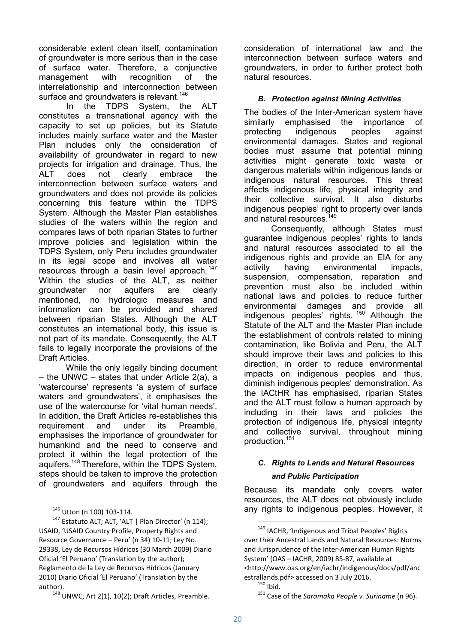considerable extent clean itself, contamination of groundwater is more serious than in the case of surface water. Therefore, a conjunctive management with recognition of the interrelationship and interconnection between surface and groundwaters is relevant.<sup>146</sup><br>In the TDPS System. the

System, the ALT constitutes a transnational agency with the capacity to set up policies, but its Statute includes mainly surface water and the Master Plan includes only the consideration of availability of groundwater in regard to new projects for irrigation and drainage. Thus, the ALT does not clearly embrace the interconnection between surface waters and groundwaters and does not provide its policies concerning this feature within the TDPS System. Although the Master Plan establishes studies of the waters within the region and compares laws of both riparian States to further improve policies and legislation within the TDPS System, only Peru includes groundwater in its legal scope and involves all water resources through a basin level approach.<sup>147</sup> Within the studies of the ALT, as neither groundwater nor aquifers are clearly mentioned, no hydrologic measures and information can be provided and shared between riparian States. Although the ALT constitutes an international body, this issue is not part of its mandate. Consequently, the ALT fails to legally incorporate the provisions of the Draft Articles.

While the only legally binding document – the UNWC – states that under Article 2(a), a 'watercourse' represents 'a system of surface waters and groundwaters', it emphasises the use of the watercourse for 'vital human needs'. In addition, the Draft Articles re-establishes this requirement and under its Preamble, emphasises the importance of groundwater for humankind and the need to conserve and protect it within the legal protection of the aquifers.<sup>148</sup> Therefore, within the TDPS System, steps should be taken to improve the protection of groundwaters and aquifers through the

<u>.</u>

consideration of international law and the interconnection between surface waters and groundwaters, in order to further protect both natural resources.

# *B. Protection against Mining Activities*

The bodies of the Inter-American system have similarly emphasised the importance of<br>protecting indigenous peoples against protecting indigenous peoples against environmental damages. States and regional bodies must assume that potential mining activities might generate toxic waste or dangerous materials within indigenous lands or indigenous natural resources. This threat affects indigenous life, physical integrity and their collective survival. It also disturbs indigenous peoples' right to property over lands and natural resources.<sup>149</sup>

Consequently, although States must guarantee indigenous peoples' rights to lands and natural resources associated to all the indigenous rights and provide an EIA for any activity having environmental impacts, suspension, compensation, reparation and prevention must also be included within national laws and policies to reduce further environmental damages and provide all indigenous peoples' rights. <sup>150</sup> Although the Statute of the ALT and the Master Plan include the establishment of controls related to mining contamination, like Bolivia and Peru, the ALT should improve their laws and policies to this direction, in order to reduce environmental impacts on indigenous peoples and thus, diminish indigenous peoples' demonstration. As the IACtHR has emphasised, riparian States and the ALT must follow a human approach by including in their laws and policies the protection of indigenous life, physical integrity and collective survival, throughout mining production.<sup>151</sup>

# *C. Rights to Lands and Natural Resources*

# *and Public Participation*

Because its mandate only covers water resources, the ALT does not obviously include any rights to indigenous peoples. However, it

<sup>146</sup> Utton (n 100) 103-114.

<sup>&</sup>lt;sup>147</sup> Estatuto ALT; ALT, 'ALT | Plan Director' (n 114); USAID, 'USAID Country Profile, Property Rights and Resource Governance – Peru' (n 34) 10-11; Ley No. 29338, Ley de Recursos Hídricos (30 March 2009) Diario Oficial 'El Peruano' (Translation by the author); Reglamento de la Ley de Recursos Hídricos (January 2010) Diario Oficial 'El Peruano' (Translation by the author).

 $148$  UNWC, Art 2(1), 10(2); Draft Articles, Preamble.

<sup>&</sup>lt;sup>149</sup> IACHR, 'Indigenous and Tribal Peoples' Rights over their Ancestral Lands and Natural Resources: Norms and Jurisprudence of the Inter-American Human Rights System' (OAS – IACHR, 2009) 85-87, available at <http://www.oas.org/en/iachr/indigenous/docs/pdf/anc estrallands.pdf> accessed on 3 July 2016.

 $150$  Ibid.

<sup>151</sup> Case of the *Saramaka People v. Suriname* (n 96).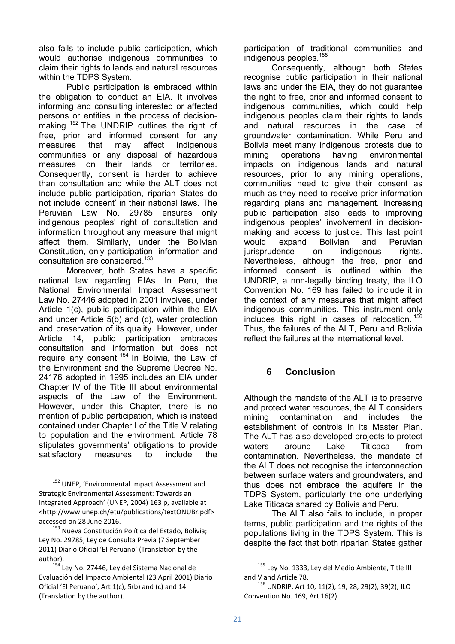also fails to include public participation, which would authorise indigenous communities to claim their rights to lands and natural resources within the TDPS System.

Public participation is embraced within the obligation to conduct an EIA. It involves informing and consulting interested or affected persons or entities in the process of decisionmaking. <sup>152</sup> The UNDRIP outlines the right of free, prior and informed consent for any measures that may affect indigenous communities or any disposal of hazardous measures on their lands or territories. Consequently, consent is harder to achieve than consultation and while the ALT does not include public participation, riparian States do not include 'consent' in their national laws. The Peruvian Law No. 29785 ensures only indigenous peoples' right of consultation and information throughout any measure that might affect them. Similarly, under the Bolivian Constitution, only participation, information and consultation are considered.<sup>153</sup>

Moreover, both States have a specific national law regarding EIAs. In Peru, the National Environmental Impact Assessment Law No. 27446 adopted in 2001 involves, under Article 1(c), public participation within the EIA and under Article 5(b) and (c), water protection and preservation of its quality. However, under Article 14, public participation embraces consultation and information but does not require any consent.<sup>154</sup> In Bolivia, the Law of the Environment and the Supreme Decree No. 24176 adopted in 1995 includes an EIA under Chapter IV of the Title III about environmental aspects of the Law of the Environment. However, under this Chapter, there is no mention of public participation, which is instead contained under Chapter I of the Title V relating to population and the environment. Article 78 stipulates governments' obligations to provide satisfactory measures to include the

-

participation of traditional communities and indigenous peoples.<sup>155</sup>

Consequently, although both States recognise public participation in their national laws and under the EIA, they do not guarantee the right to free, prior and informed consent to indigenous communities, which could help indigenous peoples claim their rights to lands and natural resources in the case of groundwater contamination. While Peru and Bolivia meet many indigenous protests due to mining operations having environmental impacts on indigenous lands and natural resources, prior to any mining operations, communities need to give their consent as much as they need to receive prior information regarding plans and management. Increasing public participation also leads to improving indigenous peoples' involvement in decisionmaking and access to justice. This last point would expand Bolivian and Peruvian jurisprudence on indigenous rights. Nevertheless, although the free, prior and informed consent is outlined within the UNDRIP, a non-legally binding treaty, the ILO Convention No. 169 has failed to include it in the context of any measures that might affect indigenous communities. This instrument only includes this right in cases of relocation.<sup>156</sup> Thus, the failures of the ALT, Peru and Bolivia reflect the failures at the international level.

# **6 Conclusion**

Although the mandate of the ALT is to preserve and protect water resources, the ALT considers mining contamination and includes the establishment of controls in its Master Plan. The ALT has also developed projects to protect waters around Lake Titicaca from contamination. Nevertheless, the mandate of the ALT does not recognise the interconnection between surface waters and groundwaters, and thus does not embrace the aquifers in the TDPS System, particularly the one underlying Lake Titicaca shared by Bolivia and Peru.

The ALT also fails to include, in proper terms, public participation and the rights of the populations living in the TDPS System. This is despite the fact that both riparian States gather

<sup>&</sup>lt;sup>152</sup> UNEP, 'Environmental Impact Assessment and Strategic Environmental Assessment: Towards an Integrated Approach' (UNEP, 2004) 163 p, available at <http://www.unep.ch/etu/publications/textONUBr.pdf> accessed on 28 June 2016.

<sup>&</sup>lt;sup>153</sup> Nueva Constitución Política del Estado, Bolivia; Ley No. 29785, Ley de Consulta Previa (7 September 2011) Diario Oficial 'El Peruano' (Translation by the author).

<sup>&</sup>lt;sup>154</sup> Ley No. 27446, Ley del Sistema Nacional de Evaluación del Impacto Ambiental (23 April 2001) Diario Oficial 'El Peruano', Art 1(c), 5(b) and (c) and 14 (Translation by the author).

<sup>155</sup> Ley No. 1333, Ley del Medio Ambiente, Title III and V and Article 78.

<sup>156</sup> UNDRIP, Art 10, 11(2), 19, 28, 29(2), 39(2); ILO Convention No. 169, Art 16(2).